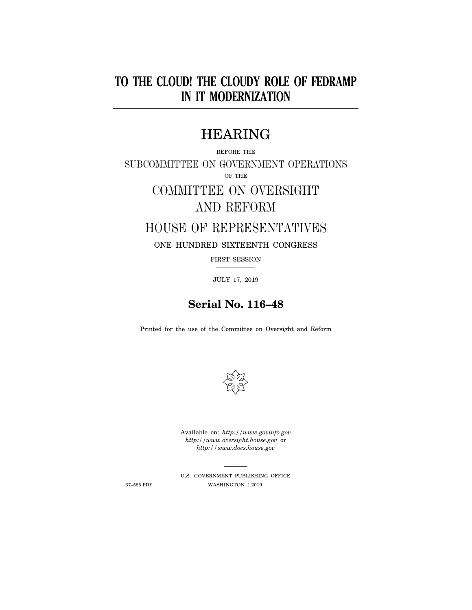## **TO THE CLOUD! THE CLOUDY ROLE OF FEDRAMP IN IT MODERNIZATION**

### HEARING

BEFORE THE SUBCOMMITTEE ON GOVERNMENT OPERATIONS OF THE

# COMMITTEE ON OVERSIGHT AND REFORM

### HOUSE OF REPRESENTATIVES

ONE HUNDRED SIXTEENTH CONGRESS

FIRST SESSION

JULY 17, 2019

## **Serial No. 116–48**

Printed for the use of the Committee on Oversight and Reform



Available on: *http://www.govinfo.gov http://www.oversight.house.gov* or *http://www.docs.house.gov* 

U.S. GOVERNMENT PUBLISHING OFFICE 37–585 PDF WASHINGTON : 2019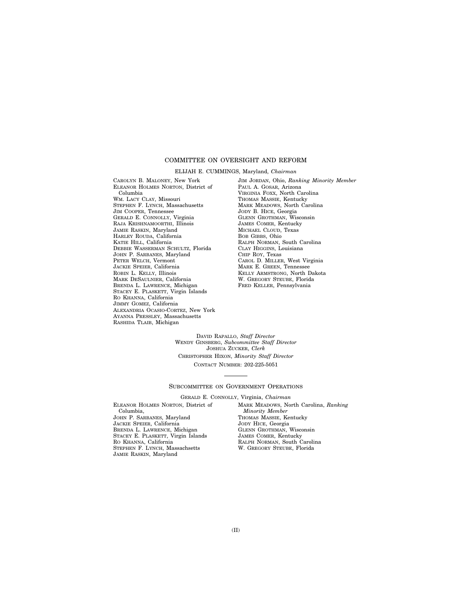#### COMMITTEE ON OVERSIGHT AND REFORM

ELIJAH E. CUMMINGS, Maryland, *Chairman* 

CAROLYN B. MALONEY, New York ELEANOR HOLMES NORTON, District of Columbia WM. LACY CLAY, Missouri STEPHEN F. LYNCH, Massachusetts JIM COOPER, Tennessee GERALD E. CONNOLLY, Virginia RAJA KRISHNAMOORTHI, Illinois JAMIE RASKIN, Maryland HARLEY ROUDA, California KATIE HILL, California DEBBIE WASSERMAN SCHULTZ, Florida JOHN P. SARBANES, Maryland PETER WELCH, Vermont JACKIE SPEIER, California ROBIN L. KELLY, Illinois MARK DESAULNIER, California BRENDA L. LAWRENCE, Michigan STACEY E. PLASKETT, Virgin Islands RO KHANNA, California JIMMY GOMEZ, California ALEXANDRIA OCASIO-CORTEZ, New York AYANNA PRESSLEY, Massachusetts RASHIDA TLAIB, Michigan

JIM JORDAN, Ohio, *Ranking Minority Member*  PAUL A. GOSAR, Arizona VIRGINIA FOXX, North Carolina THOMAS MASSIE, Kentucky MARK MEADOWS, North Carolina JODY B. HICE, Georgia GLENN GROTHMAN, Wisconsin JAMES COMER, Kentucky MICHAEL CLOUD, Texas BOB GIBBS, Ohio RALPH NORMAN, South Carolina CLAY HIGGINS, Louisiana CHIP ROY, Texas CAROL D. MILLER, West Virginia MARK E. GREEN, Tennessee KELLY ARMSTRONG, North Dakota W. GREGORY STEUBE, Florida FRED KELLER, Pennsylvania

DAVID RAPALLO, *Staff Director*  WENDY GINSBERG, *Subcommittee Staff Director*  JOSHUA ZUCKER, *Clerk*  CHRISTOPHER HIXON, *Minority Staff Director*  CONTACT NUMBER: 202-225-5051

#### SUBCOMMITTEE ON GOVERNMENT OPERATIONS

GERALD E. CONNOLLY, Virginia, *Chairman* 

ELEANOR HOLMES NORTON, District of Columbia, JOHN P. SARBANES, Maryland JACKIE SPEIER, California BRENDA L. LAWRENCE, Michigan STACEY E. PLASKETT, Virgin Islands RO KHANNA, California STEPHEN F. LYNCH, Massachsetts JAMIE RASKIN, Maryland

MARK MEADOWS, North Carolina, *Ranking Minority Member*  THOMAS MASSIE, Kentucky JODY HICE, Georgia GLENN GROTHMAN, Wisconsin JAMES COMER, Kentucky RALPH NORMAN, South Carolina W. GREGORY STEUBE, Florida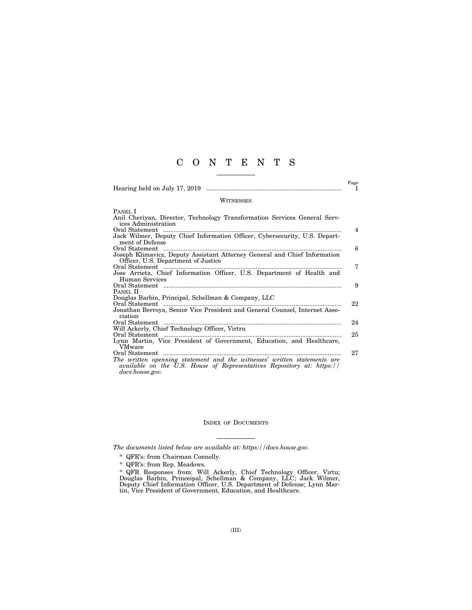### C O N T E N T S

|                                                                                                                                                                       | Page<br>1      |
|-----------------------------------------------------------------------------------------------------------------------------------------------------------------------|----------------|
| <b>WITNESSES</b>                                                                                                                                                      |                |
| PANEL I                                                                                                                                                               |                |
| Anil Cheriyan, Director, Technology Transformation Services General Serv-<br>ices Administration                                                                      |                |
| Oral Statement                                                                                                                                                        | $\overline{4}$ |
| Jack Wilmer, Deputy Chief Information Officer, Cybersecurity, U.S. Depart-<br>ment of Defense                                                                         |                |
|                                                                                                                                                                       | 6              |
| Joseph Klimavicz, Deputy Assistant Attorney General and Chief Information                                                                                             |                |
| Officer, U.S. Department of Justice                                                                                                                                   |                |
| Oral Statement                                                                                                                                                        | 7              |
| Jose Arrieta, Chief Information Officer, U.S. Department of Health and<br>Human Services                                                                              |                |
|                                                                                                                                                                       | 9              |
| Panel II                                                                                                                                                              |                |
| Douglas Barbin, Principal, Schellman & Company, LLC                                                                                                                   |                |
| Oral Statement                                                                                                                                                        | 22             |
| Jonathan Berroya, Senior Vice President and General Counsel, Internet Asso-<br>ciation                                                                                |                |
|                                                                                                                                                                       | 24             |
| Will Ackerly, Chief Technology Officer, Virtru                                                                                                                        |                |
| Oral Statement                                                                                                                                                        | 25             |
| Lynn Martin, Vice President of Government, Education, and Healthcare,<br>VMware                                                                                       |                |
|                                                                                                                                                                       | 27             |
| The written openning statement and the witnesses' written statements are<br>available on the U.S. House of Representatives Repository at: https://<br>docs.house.gov. |                |

#### INDEX OF DOCUMENTS

*The documents listed below are available at: https://docs.house.gov.* 

- \* QFR's: from Chairman Connolly.
- \* QFR's: from Rep. Meadows.

\* QFR Responses from: Will Ackerly, Chief Technology Officer, Virtu; Douglas Barbin, Princeipal, Schellman & Company, LLC; Jack Wilmer, Deputy Chief Information Officer, U.S. Department of Defense; Lynn Martin, Vice President of Government, Education, and Healthcare.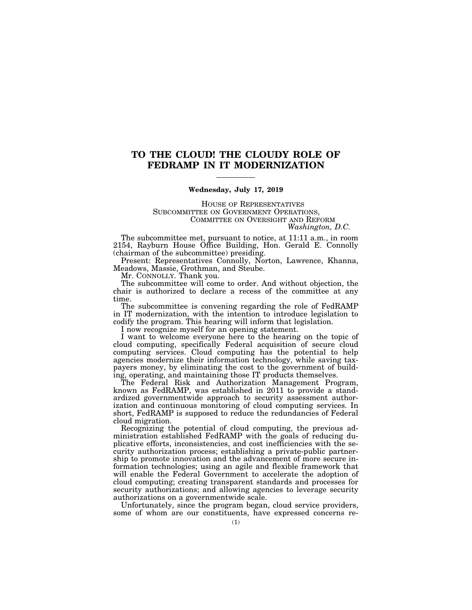### **TO THE CLOUD! THE CLOUDY ROLE OF FEDRAMP IN IT MODERNIZATION**

#### **Wednesday, July 17, 2019**

**HOUSE OF REPRESENTATIVES**<br>SUBCOMMITTEE ON GOVERNMENT OPERATIONS. COMMITTEE ON OVERSIGHT AND REFORM *Washington, D.C.* 

The subcommittee met, pursuant to notice, at 11:11 a.m., in room 2154, Rayburn House Office Building, Hon. Gerald E. Connolly (chairman of the subcommittee) presiding.

Present: Representatives Connolly, Norton, Lawrence, Khanna, Meadows, Massie, Grothman, and Steube.

Mr. CONNOLLY. Thank you.

The subcommittee will come to order. And without objection, the chair is authorized to declare a recess of the committee at any time.

The subcommittee is convening regarding the role of FedRAMP in IT modernization, with the intention to introduce legislation to codify the program. This hearing will inform that legislation.

I now recognize myself for an opening statement.

I want to welcome everyone here to the hearing on the topic of cloud computing, specifically Federal acquisition of secure cloud computing services. Cloud computing has the potential to help agencies modernize their information technology, while saving taxpayers money, by eliminating the cost to the government of building, operating, and maintaining those IT products themselves.

The Federal Risk and Authorization Management Program, known as FedRAMP, was established in 2011 to provide a standardized governmentwide approach to security assessment authorization and continuous monitoring of cloud computing services. In short, FedRAMP is supposed to reduce the redundancies of Federal cloud migration.

Recognizing the potential of cloud computing, the previous administration established FedRAMP with the goals of reducing duplicative efforts, inconsistencies, and cost inefficiencies with the security authorization process; establishing a private-public partnership to promote innovation and the advancement of more secure information technologies; using an agile and flexible framework that will enable the Federal Government to accelerate the adoption of cloud computing; creating transparent standards and processes for security authorizations; and allowing agencies to leverage security authorizations on a governmentwide scale.

Unfortunately, since the program began, cloud service providers, some of whom are our constituents, have expressed concerns re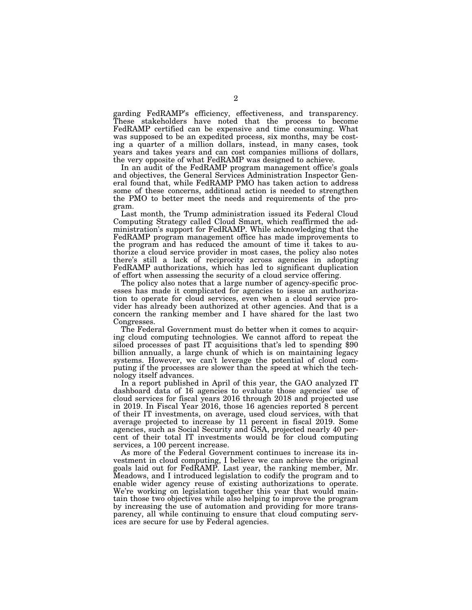garding FedRAMP's efficiency, effectiveness, and transparency. These stakeholders have noted that the process to become FedRAMP certified can be expensive and time consuming. What was supposed to be an expedited process, six months, may be costing a quarter of a million dollars, instead, in many cases, took years and takes years and can cost companies millions of dollars, the very opposite of what FedRAMP was designed to achieve.

In an audit of the FedRAMP program management office's goals and objectives, the General Services Administration Inspector General found that, while FedRAMP PMO has taken action to address some of these concerns, additional action is needed to strengthen the PMO to better meet the needs and requirements of the program.

Last month, the Trump administration issued its Federal Cloud Computing Strategy called Cloud Smart, which reaffirmed the administration's support for FedRAMP. While acknowledging that the FedRAMP program management office has made improvements to the program and has reduced the amount of time it takes to authorize a cloud service provider in most cases, the policy also notes there's still a lack of reciprocity across agencies in adopting FedRAMP authorizations, which has led to significant duplication of effort when assessing the security of a cloud service offering.

The policy also notes that a large number of agency-specific processes has made it complicated for agencies to issue an authorization to operate for cloud services, even when a cloud service provider has already been authorized at other agencies. And that is a concern the ranking member and I have shared for the last two Congresses.

The Federal Government must do better when it comes to acquiring cloud computing technologies. We cannot afford to repeat the siloed processes of past IT acquisitions that's led to spending \$90 billion annually, a large chunk of which is on maintaining legacy systems. However, we can't leverage the potential of cloud computing if the processes are slower than the speed at which the technology itself advances.

In a report published in April of this year, the GAO analyzed IT dashboard data of 16 agencies to evaluate those agencies' use of cloud services for fiscal years 2016 through 2018 and projected use in 2019. In Fiscal Year 2016, those 16 agencies reported 8 percent of their IT investments, on average, used cloud services, with that average projected to increase by 11 percent in fiscal 2019. Some agencies, such as Social Security and GSA, projected nearly 40 percent of their total IT investments would be for cloud computing services, a 100 percent increase.

As more of the Federal Government continues to increase its investment in cloud computing, I believe we can achieve the original goals laid out for FedRAMP. Last year, the ranking member, Mr. Meadows, and I introduced legislation to codify the program and to enable wider agency reuse of existing authorizations to operate. We're working on legislation together this year that would maintain those two objectives while also helping to improve the program by increasing the use of automation and providing for more transparency, all while continuing to ensure that cloud computing services are secure for use by Federal agencies.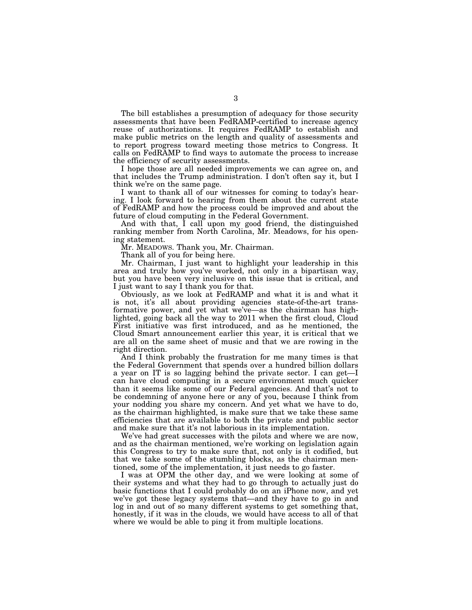The bill establishes a presumption of adequacy for those security assessments that have been FedRAMP-certified to increase agency reuse of authorizations. It requires FedRAMP to establish and make public metrics on the length and quality of assessments and to report progress toward meeting those metrics to Congress. It calls on FedRAMP to find ways to automate the process to increase the efficiency of security assessments.

I hope those are all needed improvements we can agree on, and that includes the Trump administration. I don't often say it, but I think we're on the same page.

I want to thank all of our witnesses for coming to today's hearing. I look forward to hearing from them about the current state of FedRAMP and how the process could be improved and about the future of cloud computing in the Federal Government.

And with that, I call upon my good friend, the distinguished ranking member from North Carolina, Mr. Meadows, for his opening statement.

Mr. MEADOWS. Thank you, Mr. Chairman.

Thank all of you for being here.

Mr. Chairman, I just want to highlight your leadership in this area and truly how you've worked, not only in a bipartisan way, but you have been very inclusive on this issue that is critical, and I just want to say I thank you for that.

Obviously, as we look at FedRAMP and what it is and what it is not, it's all about providing agencies state-of-the-art transformative power, and yet what we've—as the chairman has highlighted, going back all the way to 2011 when the first cloud, Cloud First initiative was first introduced, and as he mentioned, the Cloud Smart announcement earlier this year, it is critical that we are all on the same sheet of music and that we are rowing in the right direction.

And I think probably the frustration for me many times is that the Federal Government that spends over a hundred billion dollars a year on IT is so lagging behind the private sector. I can get—I can have cloud computing in a secure environment much quicker than it seems like some of our Federal agencies. And that's not to be condemning of anyone here or any of you, because I think from your nodding you share my concern. And yet what we have to do, as the chairman highlighted, is make sure that we take these same efficiencies that are available to both the private and public sector and make sure that it's not laborious in its implementation.

We've had great successes with the pilots and where we are now, and as the chairman mentioned, we're working on legislation again this Congress to try to make sure that, not only is it codified, but that we take some of the stumbling blocks, as the chairman mentioned, some of the implementation, it just needs to go faster.

I was at OPM the other day, and we were looking at some of their systems and what they had to go through to actually just do basic functions that I could probably do on an iPhone now, and yet we've got these legacy systems that—and they have to go in and log in and out of so many different systems to get something that, honestly, if it was in the clouds, we would have access to all of that where we would be able to ping it from multiple locations.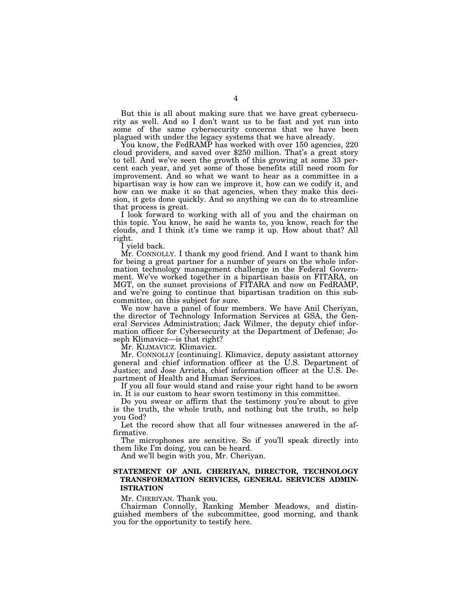But this is all about making sure that we have great cybersecurity as well. And so I don't want us to be fast and yet run into some of the same cybersecurity concerns that we have been plagued with under the legacy systems that we have already.

You know, the FedRAMP has worked with over 150 agencies, 220 cloud providers, and saved over \$250 million. That's a great story to tell. And we've seen the growth of this growing at some 33 percent each year, and yet some of those benefits still need room for improvement. And so what we want to hear as a committee in a bipartisan way is how can we improve it, how can we codify it, and how can we make it so that agencies, when they make this decision, it gets done quickly. And so anything we can do to streamline that process is great.

I look forward to working with all of you and the chairman on this topic. You know, he said he wants to, you know, reach for the clouds, and I think it's time we ramp it up. How about that? All right.

I yield back.

Mr. CONNOLLY. I thank my good friend. And I want to thank him for being a great partner for a number of years on the whole information technology management challenge in the Federal Government. We've worked together in a bipartisan basis on FITARA, on MGT, on the sunset provisions of FITARA and now on FedRAMP, and we're going to continue that bipartisan tradition on this subcommittee, on this subject for sure.

We now have a panel of four members. We have Anil Cheriyan, the director of Technology Information Services at GSA, the General Services Administration; Jack Wilmer, the deputy chief information officer for Cybersecurity at the Department of Defense; Joseph Klimavicz—is that right?

Mr. KLIMAVICZ. Klimavicz.

Mr. CONNOLLY [continuing]. Klimavicz, deputy assistant attorney general and chief information officer at the U.S. Department of Justice; and Jose Arrieta, chief information officer at the U.S. Department of Health and Human Services.

If you all four would stand and raise your right hand to be sworn in. It is our custom to hear sworn testimony in this committee.

Do you swear or affirm that the testimony you're about to give is the truth, the whole truth, and nothing but the truth, so help you God?

Let the record show that all four witnesses answered in the affirmative.

The microphones are sensitive. So if you'll speak directly into them like I'm doing, you can be heard.

And we'll begin with you, Mr. Cheriyan.

#### **STATEMENT OF ANIL CHERIYAN, DIRECTOR, TECHNOLOGY TRANSFORMATION SERVICES, GENERAL SERVICES ADMIN-ISTRATION**

Mr. CHERIYAN. Thank you.

Chairman Connolly, Ranking Member Meadows, and distinguished members of the subcommittee, good morning, and thank you for the opportunity to testify here.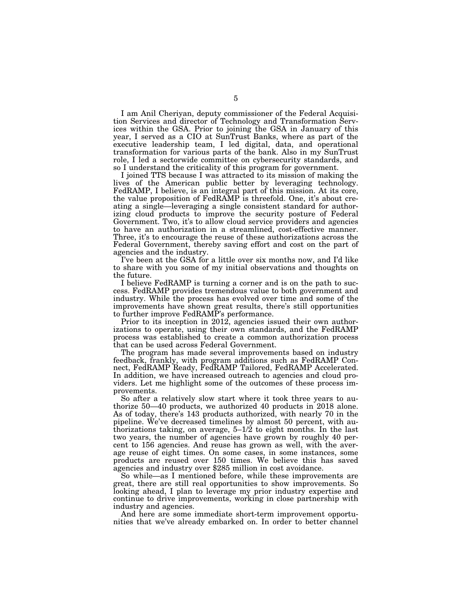I am Anil Cheriyan, deputy commissioner of the Federal Acquisition Services and director of Technology and Transformation Services within the GSA. Prior to joining the GSA in January of this year, I served as a CIO at SunTrust Banks, where as part of the executive leadership team, I led digital, data, and operational transformation for various parts of the bank. Also in my SunTrust role, I led a sectorwide committee on cybersecurity standards, and so I understand the criticality of this program for government.

I joined TTS because I was attracted to its mission of making the lives of the American public better by leveraging technology. FedRAMP, I believe, is an integral part of this mission. At its core, the value proposition of FedRAMP is threefold. One, it's about creating a single—leveraging a single consistent standard for authorizing cloud products to improve the security posture of Federal Government. Two, it's to allow cloud service providers and agencies to have an authorization in a streamlined, cost-effective manner. Three, it's to encourage the reuse of these authorizations across the Federal Government, thereby saving effort and cost on the part of agencies and the industry.

I've been at the GSA for a little over six months now, and I'd like to share with you some of my initial observations and thoughts on the future.

I believe FedRAMP is turning a corner and is on the path to success. FedRAMP provides tremendous value to both government and industry. While the process has evolved over time and some of the improvements have shown great results, there's still opportunities to further improve FedRAMP's performance.

Prior to its inception in 2012, agencies issued their own authorizations to operate, using their own standards, and the FedRAMP process was established to create a common authorization process that can be used across Federal Government.

The program has made several improvements based on industry feedback, frankly, with program additions such as FedRAMP Connect, FedRAMP Ready, FedRAMP Tailored, FedRAMP Accelerated. In addition, we have increased outreach to agencies and cloud providers. Let me highlight some of the outcomes of these process improvements.

So after a relatively slow start where it took three years to authorize 50—40 products, we authorized 40 products in 2018 alone. As of today, there's 143 products authorized, with nearly 70 in the pipeline. We've decreased timelines by almost 50 percent, with authorizations taking, on average,  $5-1/2$  to eight months. In the last two years, the number of agencies have grown by roughly 40 percent to 156 agencies. And reuse has grown as well, with the average reuse of eight times. On some cases, in some instances, some products are reused over 150 times. We believe this has saved agencies and industry over \$285 million in cost avoidance.

So while—as I mentioned before, while these improvements are great, there are still real opportunities to show improvements. So looking ahead, I plan to leverage my prior industry expertise and continue to drive improvements, working in close partnership with industry and agencies.

And here are some immediate short-term improvement opportunities that we've already embarked on. In order to better channel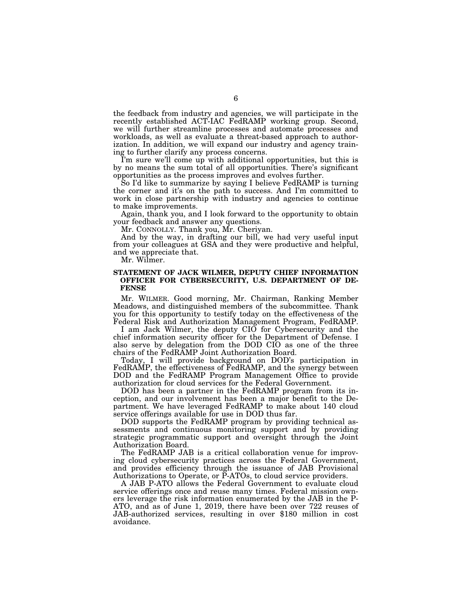the feedback from industry and agencies, we will participate in the recently established ACT-IAC FedRAMP working group. Second, we will further streamline processes and automate processes and workloads, as well as evaluate a threat-based approach to authorization. In addition, we will expand our industry and agency training to further clarify any process concerns.

I'm sure we'll come up with additional opportunities, but this is by no means the sum total of all opportunities. There's significant opportunities as the process improves and evolves further.

So I'd like to summarize by saying I believe FedRAMP is turning the corner and it's on the path to success. And I'm committed to work in close partnership with industry and agencies to continue to make improvements.

Again, thank you, and I look forward to the opportunity to obtain your feedback and answer any questions.

Mr. CONNOLLY. Thank you, Mr. Cheriyan.

And by the way, in drafting our bill, we had very useful input from your colleagues at GSA and they were productive and helpful, and we appreciate that.

Mr. Wilmer.

#### **STATEMENT OF JACK WILMER, DEPUTY CHIEF INFORMATION OFFICER FOR CYBERSECURITY, U.S. DEPARTMENT OF DE-FENSE**

Mr. WILMER. Good morning, Mr. Chairman, Ranking Member Meadows, and distinguished members of the subcommittee. Thank you for this opportunity to testify today on the effectiveness of the Federal Risk and Authorization Management Program, FedRAMP.

I am Jack Wilmer, the deputy CIO for Cybersecurity and the chief information security officer for the Department of Defense. I also serve by delegation from the DOD CIO as one of the three chairs of the FedRAMP Joint Authorization Board.

Today, I will provide background on DOD's participation in FedRAMP, the effectiveness of FedRAMP, and the synergy between DOD and the FedRAMP Program Management Office to provide authorization for cloud services for the Federal Government.

DOD has been a partner in the FedRAMP program from its inception, and our involvement has been a major benefit to the Department. We have leveraged FedRAMP to make about 140 cloud service offerings available for use in DOD thus far.

DOD supports the FedRAMP program by providing technical assessments and continuous monitoring support and by providing strategic programmatic support and oversight through the Joint Authorization Board.

The FedRAMP JAB is a critical collaboration venue for improving cloud cybersecurity practices across the Federal Government, and provides efficiency through the issuance of JAB Provisional Authorizations to Operate, or P-ATOs, to cloud service providers.

A JAB P-ATO allows the Federal Government to evaluate cloud service offerings once and reuse many times. Federal mission owners leverage the risk information enumerated by the JAB in the P-ATO, and as of June 1, 2019, there have been over 722 reuses of JAB-authorized services, resulting in over \$180 million in cost avoidance.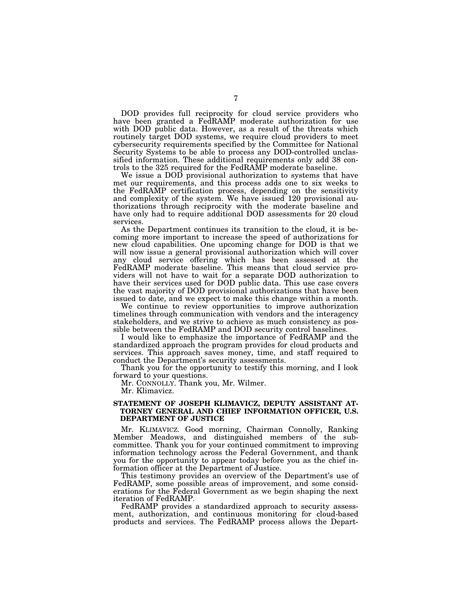DOD provides full reciprocity for cloud service providers who have been granted a FedRAMP moderate authorization for use with DOD public data. However, as a result of the threats which routinely target DOD systems, we require cloud providers to meet cybersecurity requirements specified by the Committee for National Security Systems to be able to process any DOD-controlled unclassified information. These additional requirements only add 38 controls to the 325 required for the FedRAMP moderate baseline.

We issue a DOD provisional authorization to systems that have met our requirements, and this process adds one to six weeks to the FedRAMP certification process, depending on the sensitivity and complexity of the system. We have issued 120 provisional authorizations through reciprocity with the moderate baseline and have only had to require additional DOD assessments for 20 cloud services.

As the Department continues its transition to the cloud, it is becoming more important to increase the speed of authorizations for new cloud capabilities. One upcoming change for DOD is that we will now issue a general provisional authorization which will cover any cloud service offering which has been assessed at the FedRAMP moderate baseline. This means that cloud service providers will not have to wait for a separate DOD authorization to have their services used for DOD public data. This use case covers the vast majority of DOD provisional authorizations that have been issued to date, and we expect to make this change within a month.

We continue to review opportunities to improve authorization timelines through communication with vendors and the interagency stakeholders, and we strive to achieve as much consistency as possible between the FedRAMP and DOD security control baselines.

I would like to emphasize the importance of FedRAMP and the standardized approach the program provides for cloud products and services. This approach saves money, time, and staff required to conduct the Department's security assessments.

Thank you for the opportunity to testify this morning, and I look forward to your questions.

Mr. CONNOLLY. Thank you, Mr. Wilmer.

Mr. Klimavicz.

#### **STATEMENT OF JOSEPH KLIMAVICZ, DEPUTY ASSISTANT AT-TORNEY GENERAL AND CHIEF INFORMATION OFFICER, U.S. DEPARTMENT OF JUSTICE**

Mr. KLIMAVICZ. Good morning, Chairman Connolly, Ranking Member Meadows, and distinguished members of the subcommittee. Thank you for your continued commitment to improving information technology across the Federal Government, and thank you for the opportunity to appear today before you as the chief information officer at the Department of Justice.

This testimony provides an overview of the Department's use of FedRAMP, some possible areas of improvement, and some considerations for the Federal Government as we begin shaping the next iteration of FedRAMP.

FedRAMP provides a standardized approach to security assessment, authorization, and continuous monitoring for cloud-based products and services. The FedRAMP process allows the Depart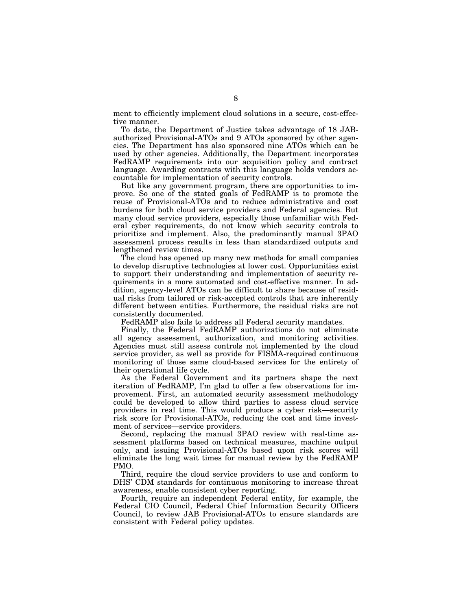ment to efficiently implement cloud solutions in a secure, cost-effective manner.

To date, the Department of Justice takes advantage of 18 JABauthorized Provisional-ATOs and 9 ATOs sponsored by other agencies. The Department has also sponsored nine ATOs which can be used by other agencies. Additionally, the Department incorporates FedRAMP requirements into our acquisition policy and contract language. Awarding contracts with this language holds vendors accountable for implementation of security controls.

But like any government program, there are opportunities to improve. So one of the stated goals of FedRAMP is to promote the reuse of Provisional-ATOs and to reduce administrative and cost burdens for both cloud service providers and Federal agencies. But many cloud service providers, especially those unfamiliar with Federal cyber requirements, do not know which security controls to prioritize and implement. Also, the predominantly manual 3PAO assessment process results in less than standardized outputs and lengthened review times.

The cloud has opened up many new methods for small companies to develop disruptive technologies at lower cost. Opportunities exist to support their understanding and implementation of security requirements in a more automated and cost-effective manner. In addition, agency-level ATOs can be difficult to share because of residual risks from tailored or risk-accepted controls that are inherently different between entities. Furthermore, the residual risks are not consistently documented.

FedRAMP also fails to address all Federal security mandates.

Finally, the Federal FedRAMP authorizations do not eliminate all agency assessment, authorization, and monitoring activities. Agencies must still assess controls not implemented by the cloud service provider, as well as provide for FISMA-required continuous monitoring of those same cloud-based services for the entirety of their operational life cycle.

As the Federal Government and its partners shape the next iteration of FedRAMP, I'm glad to offer a few observations for improvement. First, an automated security assessment methodology could be developed to allow third parties to assess cloud service providers in real time. This would produce a cyber risk—security risk score for Provisional-ATOs, reducing the cost and time investment of services—service providers.

Second, replacing the manual 3PAO review with real-time assessment platforms based on technical measures, machine output only, and issuing Provisional-ATOs based upon risk scores will eliminate the long wait times for manual review by the FedRAMP PMO.

Third, require the cloud service providers to use and conform to DHS' CDM standards for continuous monitoring to increase threat awareness, enable consistent cyber reporting.

Fourth, require an independent Federal entity, for example, the Federal CIO Council, Federal Chief Information Security Officers Council, to review JAB Provisional-ATOs to ensure standards are consistent with Federal policy updates.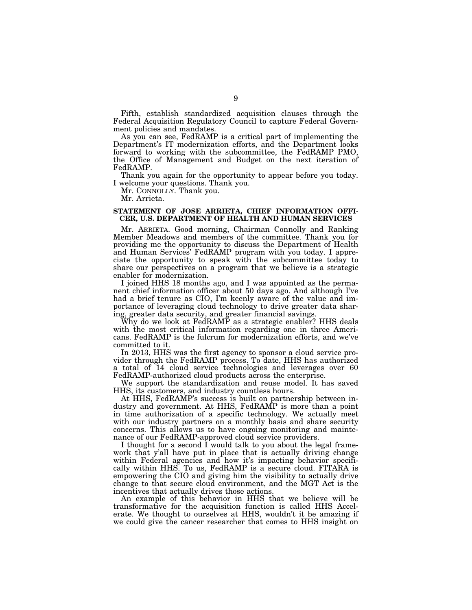Fifth, establish standardized acquisition clauses through the Federal Acquisition Regulatory Council to capture Federal Government policies and mandates.

As you can see, FedRAMP is a critical part of implementing the Department's IT modernization efforts, and the Department looks forward to working with the subcommittee, the FedRAMP PMO, the Office of Management and Budget on the next iteration of FedRAMP.

Thank you again for the opportunity to appear before you today. I welcome your questions. Thank you.

Mr. CONNOLLY. Thank you.

Mr. Arrieta.

#### **STATEMENT OF JOSE ARRIETA, CHIEF INFORMATION OFFI-CER, U.S. DEPARTMENT OF HEALTH AND HUMAN SERVICES**

Mr. ARRIETA. Good morning, Chairman Connolly and Ranking Member Meadows and members of the committee. Thank you for providing me the opportunity to discuss the Department of Health and Human Services' FedRAMP program with you today. I appreciate the opportunity to speak with the subcommittee today to share our perspectives on a program that we believe is a strategic enabler for modernization.

I joined HHS 18 months ago, and I was appointed as the permanent chief information officer about 50 days ago. And although I've had a brief tenure as CIO, I'm keenly aware of the value and importance of leveraging cloud technology to drive greater data sharing, greater data security, and greater financial savings.

Why do we look at FedRAMP as a strategic enabler? HHS deals with the most critical information regarding one in three Americans. FedRAMP is the fulcrum for modernization efforts, and we've committed to it.

In 2013, HHS was the first agency to sponsor a cloud service provider through the FedRAMP process. To date, HHS has authorized a total of 14 cloud service technologies and leverages over 60 FedRAMP-authorized cloud products across the enterprise.

We support the standardization and reuse model. It has saved HHS, its customers, and industry countless hours.

At HHS, FedRAMP's success is built on partnership between industry and government. At HHS, FedRAMP is more than a point in time authorization of a specific technology. We actually meet with our industry partners on a monthly basis and share security concerns. This allows us to have ongoing monitoring and maintenance of our FedRAMP-approved cloud service providers.

I thought for a second I would talk to you about the legal framework that y'all have put in place that is actually driving change within Federal agencies and how it's impacting behavior specifically within HHS. To us, FedRAMP is a secure cloud. FITARA is empowering the CIO and giving him the visibility to actually drive change to that secure cloud environment, and the MGT Act is the incentives that actually drives those actions.

An example of this behavior in HHS that we believe will be transformative for the acquisition function is called HHS Accelerate. We thought to ourselves at HHS, wouldn't it be amazing if we could give the cancer researcher that comes to HHS insight on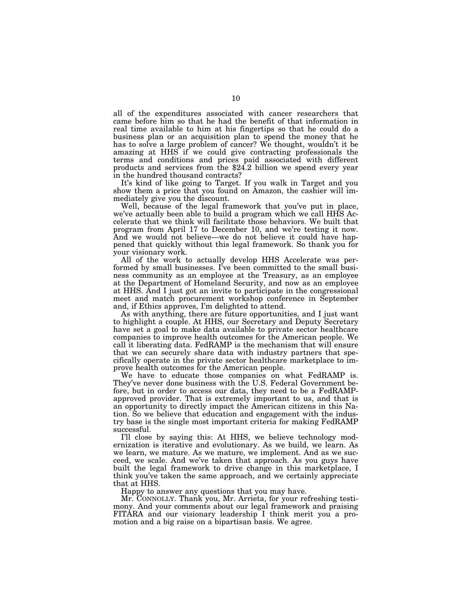all of the expenditures associated with cancer researchers that came before him so that he had the benefit of that information in real time available to him at his fingertips so that he could do a business plan or an acquisition plan to spend the money that he has to solve a large problem of cancer? We thought, wouldn't it be amazing at HHS if we could give contracting professionals the terms and conditions and prices paid associated with different products and services from the \$24.2 billion we spend every year in the hundred thousand contracts?

It's kind of like going to Target. If you walk in Target and you show them a price that you found on Amazon, the cashier will immediately give you the discount.

Well, because of the legal framework that you've put in place, we've actually been able to build a program which we call HHS Accelerate that we think will facilitate those behaviors. We built that program from April 17 to December 10, and we're testing it now. And we would not believe—we do not believe it could have happened that quickly without this legal framework. So thank you for your visionary work.

All of the work to actually develop HHS Accelerate was performed by small businesses. I've been committed to the small business community as an employee at the Treasury, as an employee at the Department of Homeland Security, and now as an employee at HHS. And I just got an invite to participate in the congressional meet and match procurement workshop conference in September and, if Ethics approves, I'm delighted to attend.

As with anything, there are future opportunities, and I just want to highlight a couple. At HHS, our Secretary and Deputy Secretary have set a goal to make data available to private sector healthcare companies to improve health outcomes for the American people. We call it liberating data. FedRAMP is the mechanism that will ensure that we can securely share data with industry partners that specifically operate in the private sector healthcare marketplace to improve health outcomes for the American people.

We have to educate those companies on what FedRAMP is. They've never done business with the U.S. Federal Government before, but in order to access our data, they need to be a FedRAMPapproved provider. That is extremely important to us, and that is an opportunity to directly impact the American citizens in this Nation. So we believe that education and engagement with the industry base is the single most important criteria for making FedRAMP successful.

I'll close by saying this: At HHS, we believe technology modernization is iterative and evolutionary. As we build, we learn. As we learn, we mature. As we mature, we implement. And as we succeed, we scale. And we've taken that approach. As you guys have built the legal framework to drive change in this marketplace, I think you've taken the same approach, and we certainly appreciate that at HHS.

Happy to answer any questions that you may have.

Mr. CONNOLLY. Thank you, Mr. Arrieta, for your refreshing testimony. And your comments about our legal framework and praising FITARA and our visionary leadership I think merit you a promotion and a big raise on a bipartisan basis. We agree.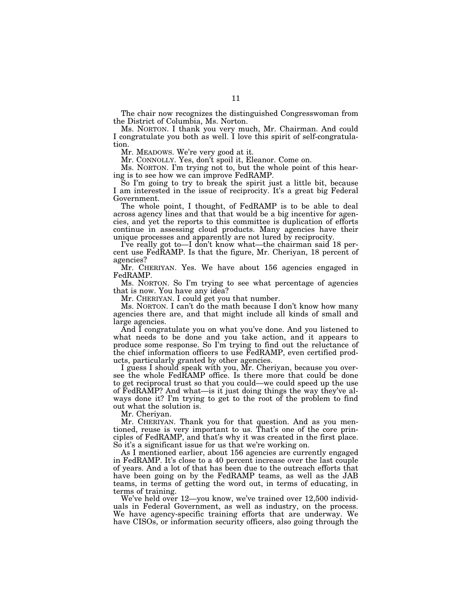The chair now recognizes the distinguished Congresswoman from the District of Columbia, Ms. Norton.

Ms. NORTON. I thank you very much, Mr. Chairman. And could I congratulate you both as well. I love this spirit of self-congratulation.

Mr. MEADOWS. We're very good at it.

Mr. CONNOLLY. Yes, don't spoil it, Eleanor. Come on.

Ms. NORTON. I'm trying not to, but the whole point of this hearing is to see how we can improve FedRAMP.

So I'm going to try to break the spirit just a little bit, because I am interested in the issue of reciprocity. It's a great big Federal Government.

The whole point, I thought, of FedRAMP is to be able to deal across agency lines and that that would be a big incentive for agencies, and yet the reports to this committee is duplication of efforts continue in assessing cloud products. Many agencies have their unique processes and apparently are not lured by reciprocity.

I've really got to—I don't know what—the chairman said 18 percent use FedRAMP. Is that the figure, Mr. Cheriyan, 18 percent of agencies?

Mr. CHERIYAN. Yes. We have about 156 agencies engaged in FedRAMP.

Ms. NORTON. So I'm trying to see what percentage of agencies that is now. You have any idea?

Mr. CHERIYAN. I could get you that number.

Ms. NORTON. I can't do the math because I don't know how many agencies there are, and that might include all kinds of small and large agencies.

And I congratulate you on what you've done. And you listened to what needs to be done and you take action, and it appears to produce some response. So I'm trying to find out the reluctance of the chief information officers to use FedRAMP, even certified products, particularly granted by other agencies.

I guess I should speak with you, Mr. Cheriyan, because you oversee the whole FedRAMP office. Is there more that could be done to get reciprocal trust so that you could—we could speed up the use of FedRAMP? And what—is it just doing things the way they've always done it? I'm trying to get to the root of the problem to find out what the solution is.

Mr. Cheriyan.

Mr. CHERIYAN. Thank you for that question. And as you mentioned, reuse is very important to us. That's one of the core principles of FedRAMP, and that's why it was created in the first place. So it's a significant issue for us that we're working on.

As I mentioned earlier, about 156 agencies are currently engaged in FedRAMP. It's close to a 40 percent increase over the last couple of years. And a lot of that has been due to the outreach efforts that have been going on by the FedRAMP teams, as well as the JAB teams, in terms of getting the word out, in terms of educating, in terms of training.

We've held over 12—you know, we've trained over 12,500 individuals in Federal Government, as well as industry, on the process. We have agency-specific training efforts that are underway. We have CISOs, or information security officers, also going through the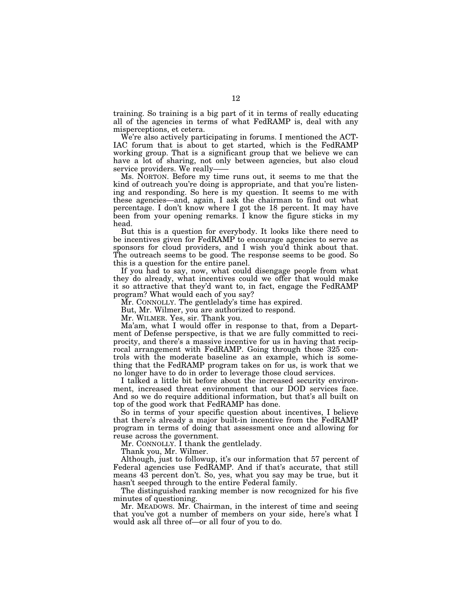training. So training is a big part of it in terms of really educating all of the agencies in terms of what FedRAMP is, deal with any misperceptions, et cetera.

We're also actively participating in forums. I mentioned the ACT-IAC forum that is about to get started, which is the FedRAMP working group. That is a significant group that we believe we can have a lot of sharing, not only between agencies, but also cloud service providers. We really-

Ms. NORTON. Before my time runs out, it seems to me that the kind of outreach you're doing is appropriate, and that you're listening and responding. So here is my question. It seems to me with these agencies—and, again, I ask the chairman to find out what percentage. I don't know where I got the 18 percent. It may have been from your opening remarks. I know the figure sticks in my head.

But this is a question for everybody. It looks like there need to be incentives given for FedRAMP to encourage agencies to serve as sponsors for cloud providers, and I wish you'd think about that. The outreach seems to be good. The response seems to be good. So this is a question for the entire panel.

If you had to say, now, what could disengage people from what they do already, what incentives could we offer that would make it so attractive that they'd want to, in fact, engage the FedRAMP program? What would each of you say?

Mr. CONNOLLY. The gentlelady's time has expired.

But, Mr. Wilmer, you are authorized to respond.

Mr. WILMER. Yes, sir. Thank you.

Ma'am, what I would offer in response to that, from a Department of Defense perspective, is that we are fully committed to reciprocity, and there's a massive incentive for us in having that reciprocal arrangement with FedRAMP. Going through those 325 controls with the moderate baseline as an example, which is something that the FedRAMP program takes on for us, is work that we no longer have to do in order to leverage those cloud services.

I talked a little bit before about the increased security environment, increased threat environment that our DOD services face. And so we do require additional information, but that's all built on top of the good work that FedRAMP has done.

So in terms of your specific question about incentives, I believe that there's already a major built-in incentive from the FedRAMP program in terms of doing that assessment once and allowing for reuse across the government.

Mr. CONNOLLY. I thank the gentlelady.

Thank you, Mr. Wilmer.

Although, just to followup, it's our information that 57 percent of Federal agencies use FedRAMP. And if that's accurate, that still means 43 percent don't. So, yes, what you say may be true, but it hasn't seeped through to the entire Federal family.

The distinguished ranking member is now recognized for his five minutes of questioning.

Mr. MEADOWS. Mr. Chairman, in the interest of time and seeing that you've got a number of members on your side, here's what I would ask all three of—or all four of you to do.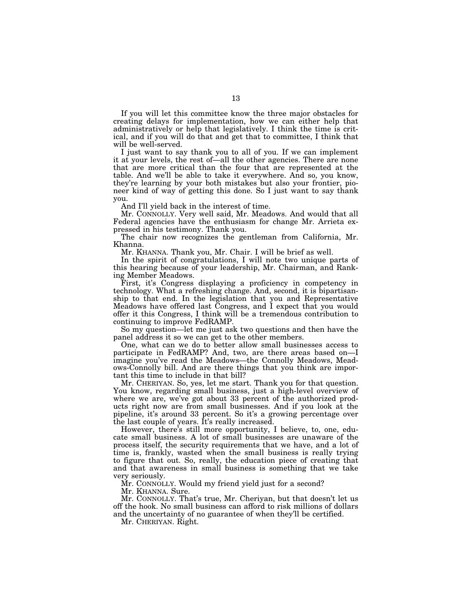If you will let this committee know the three major obstacles for creating delays for implementation, how we can either help that administratively or help that legislatively. I think the time is critical, and if you will do that and get that to committee, I think that will be well-served.

I just want to say thank you to all of you. If we can implement it at your levels, the rest of—all the other agencies. There are none that are more critical than the four that are represented at the table. And we'll be able to take it everywhere. And so, you know, they're learning by your both mistakes but also your frontier, pioneer kind of way of getting this done. So I just want to say thank you.

And I'll yield back in the interest of time.

Mr. CONNOLLY. Very well said, Mr. Meadows. And would that all Federal agencies have the enthusiasm for change Mr. Arrieta expressed in his testimony. Thank you.

The chair now recognizes the gentleman from California, Mr. Khanna.

Mr. KHANNA. Thank you, Mr. Chair. I will be brief as well.

In the spirit of congratulations, I will note two unique parts of this hearing because of your leadership, Mr. Chairman, and Ranking Member Meadows.

First, it's Congress displaying a proficiency in competency in technology. What a refreshing change. And, second, it is bipartisanship to that end. In the legislation that you and Representative Meadows have offered last Congress, and I expect that you would offer it this Congress, I think will be a tremendous contribution to continuing to improve FedRAMP.

So my question—let me just ask two questions and then have the panel address it so we can get to the other members.

One, what can we do to better allow small businesses access to participate in FedRAMP? And, two, are there areas based on—I imagine you've read the Meadows—the Connolly Meadows, Meadows-Connolly bill. And are there things that you think are important this time to include in that bill?

Mr. CHERIYAN. So, yes, let me start. Thank you for that question. You know, regarding small business, just a high-level overview of where we are, we've got about 33 percent of the authorized products right now are from small businesses. And if you look at the pipeline, it's around 33 percent. So it's a growing percentage over the last couple of years. It's really increased.

However, there's still more opportunity, I believe, to, one, educate small business. A lot of small businesses are unaware of the process itself, the security requirements that we have, and a lot of time is, frankly, wasted when the small business is really trying to figure that out. So, really, the education piece of creating that and that awareness in small business is something that we take very seriously.

Mr. CONNOLLY. Would my friend yield just for a second?

Mr. KHANNA. Sure.

Mr. CONNOLLY. That's true, Mr. Cheriyan, but that doesn't let us off the hook. No small business can afford to risk millions of dollars and the uncertainty of no guarantee of when they'll be certified.

Mr. CHERIYAN. Right.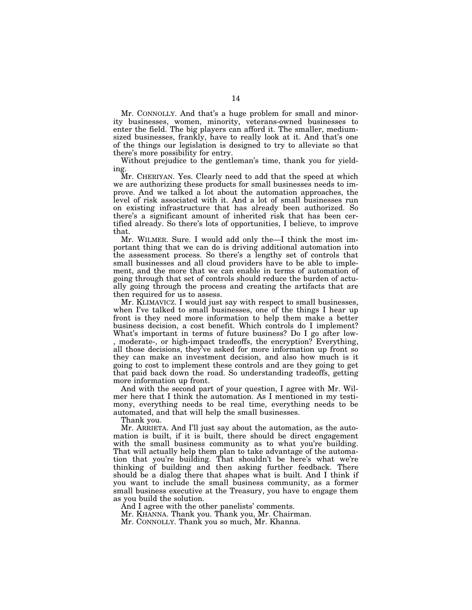Mr. CONNOLLY. And that's a huge problem for small and minority businesses, women, minority, veterans-owned businesses to enter the field. The big players can afford it. The smaller, mediumsized businesses, frankly, have to really look at it. And that's one of the things our legislation is designed to try to alleviate so that there's more possibility for entry.

Without prejudice to the gentleman's time, thank you for yielding.

Mr. CHERIYAN. Yes. Clearly need to add that the speed at which we are authorizing these products for small businesses needs to improve. And we talked a lot about the automation approaches, the level of risk associated with it. And a lot of small businesses run on existing infrastructure that has already been authorized. So there's a significant amount of inherited risk that has been certified already. So there's lots of opportunities, I believe, to improve that.

Mr. WILMER. Sure. I would add only the—I think the most important thing that we can do is driving additional automation into the assessment process. So there's a lengthy set of controls that small businesses and all cloud providers have to be able to implement, and the more that we can enable in terms of automation of going through that set of controls should reduce the burden of actually going through the process and creating the artifacts that are then required for us to assess.

Mr. KLIMAVICZ. I would just say with respect to small businesses, when I've talked to small businesses, one of the things I hear up front is they need more information to help them make a better business decision, a cost benefit. Which controls do I implement? What's important in terms of future business? Do I go after low- , moderate-, or high-impact tradeoffs, the encryption? Everything, all those decisions, they've asked for more information up front so they can make an investment decision, and also how much is it going to cost to implement these controls and are they going to get that paid back down the road. So understanding tradeoffs, getting more information up front.

And with the second part of your question, I agree with Mr. Wilmer here that I think the automation. As I mentioned in my testimony, everything needs to be real time, everything needs to be automated, and that will help the small businesses.

Thank you.

Mr. ARRIETA. And I'll just say about the automation, as the automation is built, if it is built, there should be direct engagement with the small business community as to what you're building. That will actually help them plan to take advantage of the automation that you're building. That shouldn't be here's what we're thinking of building and then asking further feedback. There should be a dialog there that shapes what is built. And I think if you want to include the small business community, as a former small business executive at the Treasury, you have to engage them as you build the solution.

And I agree with the other panelists' comments.

Mr. KHANNA. Thank you. Thank you, Mr. Chairman.

Mr. CONNOLLY. Thank you so much, Mr. Khanna.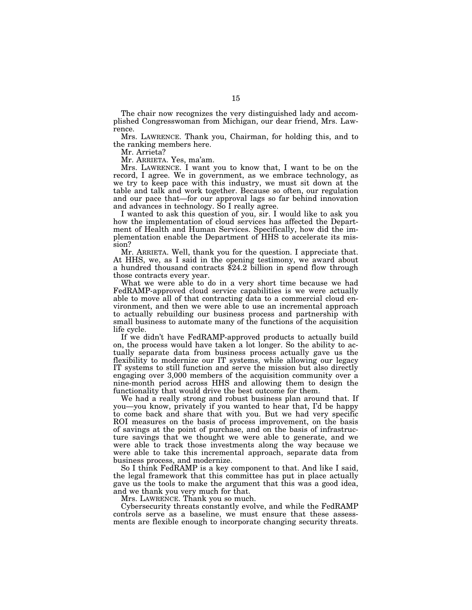The chair now recognizes the very distinguished lady and accomplished Congresswoman from Michigan, our dear friend, Mrs. Lawrence.

Mrs. LAWRENCE. Thank you, Chairman, for holding this, and to the ranking members here.

Mr. Arrieta?

Mr. ARRIETA. Yes, ma'am.

Mrs. LAWRENCE. I want you to know that, I want to be on the record, I agree. We in government, as we embrace technology, as we try to keep pace with this industry, we must sit down at the table and talk and work together. Because so often, our regulation and our pace that—for our approval lags so far behind innovation and advances in technology. So I really agree.

I wanted to ask this question of you, sir. I would like to ask you how the implementation of cloud services has affected the Department of Health and Human Services. Specifically, how did the implementation enable the Department of HHS to accelerate its mission?

Mr. ARRIETA. Well, thank you for the question. I appreciate that. At HHS, we, as I said in the opening testimony, we award about a hundred thousand contracts \$24.2 billion in spend flow through those contracts every year.

What we were able to do in a very short time because we had FedRAMP-approved cloud service capabilities is we were actually able to move all of that contracting data to a commercial cloud environment, and then we were able to use an incremental approach to actually rebuilding our business process and partnership with small business to automate many of the functions of the acquisition life cycle.

If we didn't have FedRAMP-approved products to actually build on, the process would have taken a lot longer. So the ability to actually separate data from business process actually gave us the flexibility to modernize our IT systems, while allowing our legacy IT systems to still function and serve the mission but also directly engaging over 3,000 members of the acquisition community over a nine-month period across HHS and allowing them to design the functionality that would drive the best outcome for them.

We had a really strong and robust business plan around that. If you—you know, privately if you wanted to hear that, I'd be happy to come back and share that with you. But we had very specific ROI measures on the basis of process improvement, on the basis of savings at the point of purchase, and on the basis of infrastructure savings that we thought we were able to generate, and we were able to track those investments along the way because we were able to take this incremental approach, separate data from business process, and modernize.

So I think FedRAMP is a key component to that. And like I said, the legal framework that this committee has put in place actually gave us the tools to make the argument that this was a good idea, and we thank you very much for that.

Mrs. LAWRENCE. Thank you so much.

Cybersecurity threats constantly evolve, and while the FedRAMP controls serve as a baseline, we must ensure that these assessments are flexible enough to incorporate changing security threats.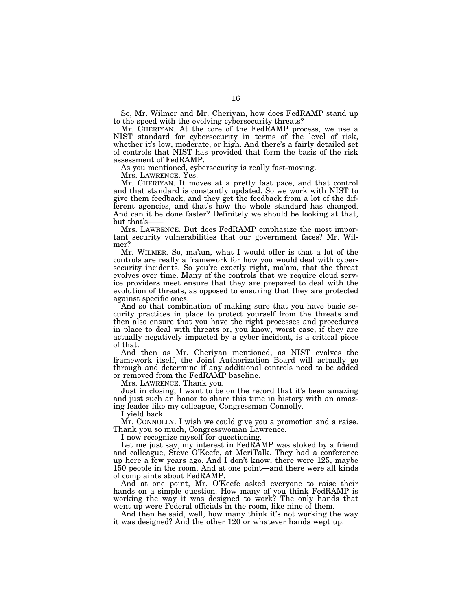So, Mr. Wilmer and Mr. Cheriyan, how does FedRAMP stand up to the speed with the evolving cybersecurity threats?

Mr. CHERIYAN. At the core of the FedRAMP process, we use a NIST standard for cybersecurity in terms of the level of risk, whether it's low, moderate, or high. And there's a fairly detailed set of controls that NIST has provided that form the basis of the risk assessment of FedRAMP.

As you mentioned, cybersecurity is really fast-moving.

Mrs. LAWRENCE. Yes.

Mr. CHERIYAN. It moves at a pretty fast pace, and that control and that standard is constantly updated. So we work with NIST to give them feedback, and they get the feedback from a lot of the different agencies, and that's how the whole standard has changed. And can it be done faster? Definitely we should be looking at that, but that's-

Mrs. LAWRENCE. But does FedRAMP emphasize the most important security vulnerabilities that our government faces? Mr. Wilmer?

Mr. WILMER. So, ma'am, what I would offer is that a lot of the controls are really a framework for how you would deal with cybersecurity incidents. So you're exactly right, ma'am, that the threat evolves over time. Many of the controls that we require cloud service providers meet ensure that they are prepared to deal with the evolution of threats, as opposed to ensuring that they are protected against specific ones.

And so that combination of making sure that you have basic security practices in place to protect yourself from the threats and then also ensure that you have the right processes and procedures in place to deal with threats or, you know, worst case, if they are actually negatively impacted by a cyber incident, is a critical piece of that.

And then as Mr. Cheriyan mentioned, as NIST evolves the framework itself, the Joint Authorization Board will actually go through and determine if any additional controls need to be added or removed from the FedRAMP baseline.

Mrs. LAWRENCE. Thank you.

Just in closing, I want to be on the record that it's been amazing and just such an honor to share this time in history with an amazing leader like my colleague, Congressman Connolly.

I yield back.

Mr. CONNOLLY. I wish we could give you a promotion and a raise. Thank you so much, Congresswoman Lawrence.

I now recognize myself for questioning.

Let me just say, my interest in FedRAMP was stoked by a friend and colleague, Steve O'Keefe, at MeriTalk. They had a conference up here a few years ago. And I don't know, there were 125, maybe 150 people in the room. And at one point—and there were all kinds of complaints about FedRAMP.

And at one point, Mr. O'Keefe asked everyone to raise their hands on a simple question. How many of you think FedRAMP is working the way it was designed to work? The only hands that went up were Federal officials in the room, like nine of them.

And then he said, well, how many think it's not working the way it was designed? And the other 120 or whatever hands wept up.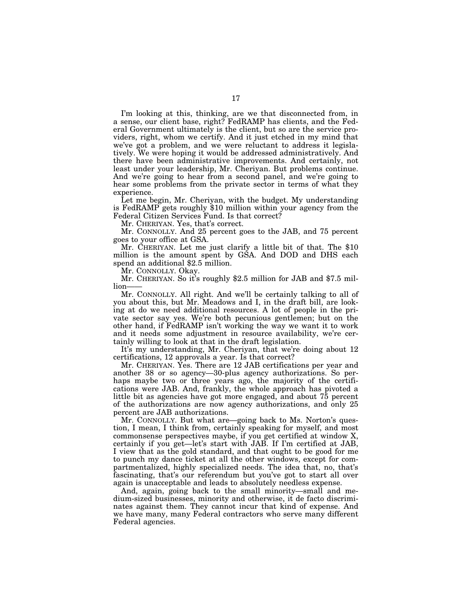I'm looking at this, thinking, are we that disconnected from, in a sense, our client base, right? FedRAMP has clients, and the Federal Government ultimately is the client, but so are the service providers, right, whom we certify. And it just etched in my mind that we've got a problem, and we were reluctant to address it legislatively. We were hoping it would be addressed administratively. And there have been administrative improvements. And certainly, not least under your leadership, Mr. Cheriyan. But problems continue. And we're going to hear from a second panel, and we're going to hear some problems from the private sector in terms of what they experience.

Let me begin, Mr. Cheriyan, with the budget. My understanding is FedRAMP gets roughly \$10 million within your agency from the Federal Citizen Services Fund. Is that correct?

Mr. CHERIYAN. Yes, that's correct.

Mr. CONNOLLY. And 25 percent goes to the JAB, and 75 percent goes to your office at GSA.

Mr. CHERIYAN. Let me just clarify a little bit of that. The \$10 million is the amount spent by GSA. And DOD and DHS each spend an additional \$2.5 million.

Mr. CONNOLLY. Okay.

Mr. CHERIYAN. So it's roughly \$2.5 million for JAB and \$7.5 million——

Mr. CONNOLLY. All right. And we'll be certainly talking to all of you about this, but Mr. Meadows and I, in the draft bill, are looking at do we need additional resources. A lot of people in the private sector say yes. We're both pecunious gentlemen; but on the other hand, if FedRAMP isn't working the way we want it to work and it needs some adjustment in resource availability, we're certainly willing to look at that in the draft legislation.

It's my understanding, Mr. Cheriyan, that we're doing about 12 certifications, 12 approvals a year. Is that correct?

Mr. CHERIYAN. Yes. There are 12 JAB certifications per year and another 38 or so agency—30-plus agency authorizations. So perhaps maybe two or three years ago, the majority of the certifications were JAB. And, frankly, the whole approach has pivoted a little bit as agencies have got more engaged, and about 75 percent of the authorizations are now agency authorizations, and only 25 percent are JAB authorizations.

Mr. CONNOLLY. But what are—going back to Ms. Norton's question, I mean, I think from, certainly speaking for myself, and most commonsense perspectives maybe, if you get certified at window X, certainly if you get—let's start with JAB. If I'm certified at JAB, I view that as the gold standard, and that ought to be good for me to punch my dance ticket at all the other windows, except for compartmentalized, highly specialized needs. The idea that, no, that's fascinating, that's our referendum but you've got to start all over again is unacceptable and leads to absolutely needless expense.

And, again, going back to the small minority—small and medium-sized businesses, minority and otherwise, it de facto discriminates against them. They cannot incur that kind of expense. And we have many, many Federal contractors who serve many different Federal agencies.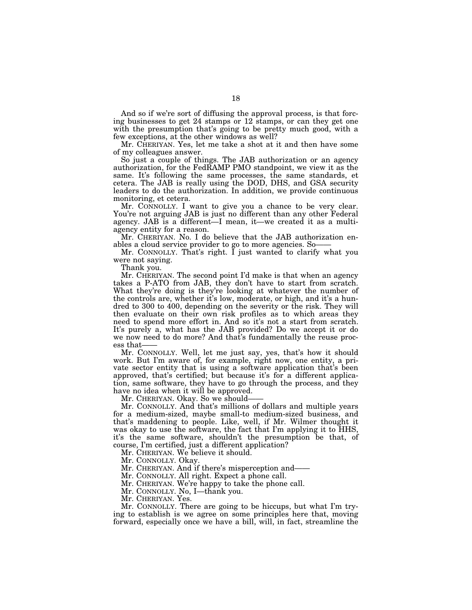And so if we're sort of diffusing the approval process, is that forcing businesses to get 24 stamps or 12 stamps, or can they get one with the presumption that's going to be pretty much good, with a few exceptions, at the other windows as well?

Mr. CHERIYAN. Yes, let me take a shot at it and then have some of my colleagues answer.

So just a couple of things. The JAB authorization or an agency authorization, for the FedRAMP PMO standpoint, we view it as the same. It's following the same processes, the same standards, et cetera. The JAB is really using the DOD, DHS, and GSA security leaders to do the authorization. In addition, we provide continuous monitoring, et cetera.

Mr. CONNOLLY. I want to give you a chance to be very clear. You're not arguing JAB is just no different than any other Federal agency. JAB is a different—I mean, it—we created it as a multiagency entity for a reason.

Mr. CHERIYAN. No. I do believe that the JAB authorization enables a cloud service provider to go to more agencies. So——

Mr. CONNOLLY. That's right. I just wanted to clarify what you were not saying.

Thank you.

Mr. CHERIYAN. The second point I'd make is that when an agency takes a P-ATO from JAB, they don't have to start from scratch. What they're doing is they're looking at whatever the number of the controls are, whether it's low, moderate, or high, and it's a hundred to 300 to 400, depending on the severity or the risk. They will then evaluate on their own risk profiles as to which areas they need to spend more effort in. And so it's not a start from scratch. It's purely a, what has the JAB provided? Do we accept it or do we now need to do more? And that's fundamentally the reuse process that-

Mr. CONNOLLY. Well, let me just say, yes, that's how it should work. But I'm aware of, for example, right now, one entity, a private sector entity that is using a software application that's been approved, that's certified; but because it's for a different application, same software, they have to go through the process, and they have no idea when it will be approved.

Mr. CHERIYAN. Okay. So we should——

Mr. CONNOLLY. And that's millions of dollars and multiple years for a medium-sized, maybe small-to medium-sized business, and that's maddening to people. Like, well, if Mr. Wilmer thought it was okay to use the software, the fact that I'm applying it to HHS, it's the same software, shouldn't the presumption be that, of course, I'm certified, just a different application?

Mr. CHERIYAN. We believe it should.

Mr. CONNOLLY. Okay.

Mr. CHERIYAN. And if there's misperception and-

Mr. CONNOLLY. All right. Expect a phone call.

Mr. CHERIYAN. We're happy to take the phone call.

Mr. CONNOLLY. No, I—thank you.

Mr. CHERIYAN. Yes.

Mr. CONNOLLY. There are going to be hiccups, but what I'm trying to establish is we agree on some principles here that, moving forward, especially once we have a bill, will, in fact, streamline the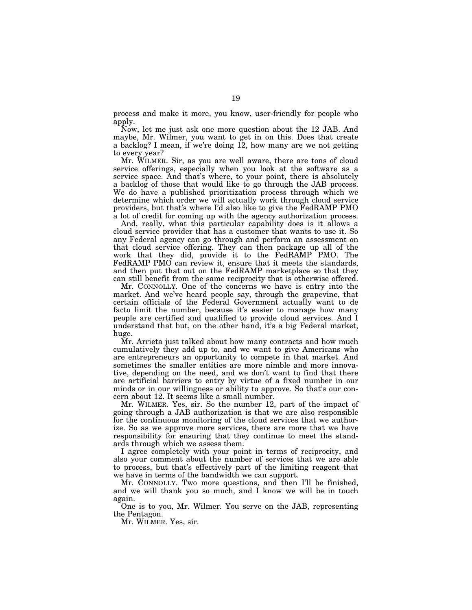process and make it more, you know, user-friendly for people who apply.

Now, let me just ask one more question about the 12 JAB. And maybe, Mr. Wilmer, you want to get in on this. Does that create a backlog? I mean, if we're doing 12, how many are we not getting to every year?

Mr. WILMER. Sir, as you are well aware, there are tons of cloud service offerings, especially when you look at the software as a service space. And that's where, to your point, there is absolutely a backlog of those that would like to go through the JAB process. We do have a published prioritization process through which we determine which order we will actually work through cloud service providers, but that's where I'd also like to give the FedRAMP PMO a lot of credit for coming up with the agency authorization process.

And, really, what this particular capability does is it allows a cloud service provider that has a customer that wants to use it. So any Federal agency can go through and perform an assessment on that cloud service offering. They can then package up all of the work that they did, provide it to the FedRAMP PMO. The FedRAMP PMO can review it, ensure that it meets the standards, and then put that out on the FedRAMP marketplace so that they can still benefit from the same reciprocity that is otherwise offered.

Mr. CONNOLLY. One of the concerns we have is entry into the market. And we've heard people say, through the grapevine, that certain officials of the Federal Government actually want to de facto limit the number, because it's easier to manage how many people are certified and qualified to provide cloud services. And I understand that but, on the other hand, it's a big Federal market, huge.

Mr. Arrieta just talked about how many contracts and how much cumulatively they add up to, and we want to give Americans who are entrepreneurs an opportunity to compete in that market. And sometimes the smaller entities are more nimble and more innovative, depending on the need, and we don't want to find that there are artificial barriers to entry by virtue of a fixed number in our minds or in our willingness or ability to approve. So that's our concern about 12. It seems like a small number.

Mr. WILMER. Yes, sir. So the number 12, part of the impact of going through a JAB authorization is that we are also responsible for the continuous monitoring of the cloud services that we authorize. So as we approve more services, there are more that we have responsibility for ensuring that they continue to meet the standards through which we assess them.

I agree completely with your point in terms of reciprocity, and also your comment about the number of services that we are able to process, but that's effectively part of the limiting reagent that we have in terms of the bandwidth we can support.

Mr. CONNOLLY. Two more questions, and then I'll be finished, and we will thank you so much, and I know we will be in touch again.

One is to you, Mr. Wilmer. You serve on the JAB, representing the Pentagon.

Mr. WILMER. Yes, sir.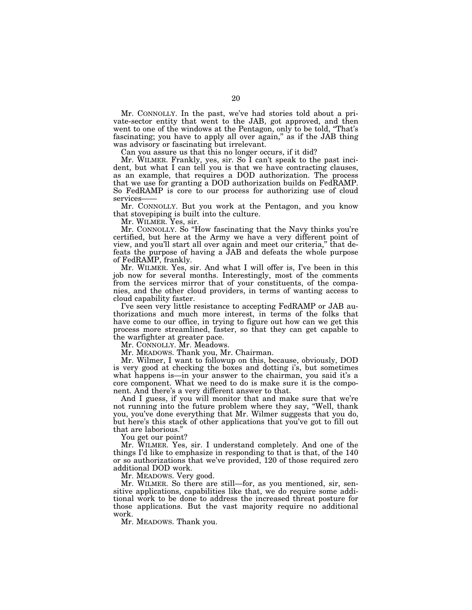Mr. CONNOLLY. In the past, we've had stories told about a private-sector entity that went to the JAB, got approved, and then went to one of the windows at the Pentagon, only to be told, "That's fascinating; you have to apply all over again," as if the JAB thing was advisory or fascinating but irrelevant.

Can you assure us that this no longer occurs, if it did?

Mr. WILMER. Frankly, yes, sir. So I can't speak to the past incident, but what I can tell you is that we have contracting clauses, as an example, that requires a DOD authorization. The process that we use for granting a DOD authorization builds on FedRAMP. So FedRAMP is core to our process for authorizing use of cloud services-

Mr. CONNOLLY. But you work at the Pentagon, and you know that stovepiping is built into the culture.

Mr. WILMER. Yes, sir.

Mr. CONNOLLY. So ''How fascinating that the Navy thinks you're certified, but here at the Army we have a very different point of view, and you'll start all over again and meet our criteria,'' that defeats the purpose of having a JAB and defeats the whole purpose of FedRAMP, frankly.

Mr. WILMER. Yes, sir. And what I will offer is, I've been in this job now for several months. Interestingly, most of the comments from the services mirror that of your constituents, of the companies, and the other cloud providers, in terms of wanting access to cloud capability faster.

I've seen very little resistance to accepting FedRAMP or JAB authorizations and much more interest, in terms of the folks that have come to our office, in trying to figure out how can we get this process more streamlined, faster, so that they can get capable to the warfighter at greater pace.

Mr. CONNOLLY. Mr. Meadows.

Mr. MEADOWS. Thank you, Mr. Chairman.

Mr. Wilmer, I want to followup on this, because, obviously, DOD is very good at checking the boxes and dotting i's, but sometimes what happens is—in your answer to the chairman, you said it's a core component. What we need to do is make sure it is the component. And there's a very different answer to that.

And I guess, if you will monitor that and make sure that we're not running into the future problem where they say, ''Well, thank you, you've done everything that Mr. Wilmer suggests that you do, but here's this stack of other applications that you've got to fill out that are laborious.''

You get our point?

Mr. WILMER. Yes, sir. I understand completely. And one of the things I'd like to emphasize in responding to that is that, of the 140 or so authorizations that we've provided, 120 of those required zero additional DOD work.

Mr. MEADOWS. Very good.

Mr. WILMER. So there are still—for, as you mentioned, sir, sensitive applications, capabilities like that, we do require some additional work to be done to address the increased threat posture for those applications. But the vast majority require no additional work.

Mr. MEADOWS. Thank you.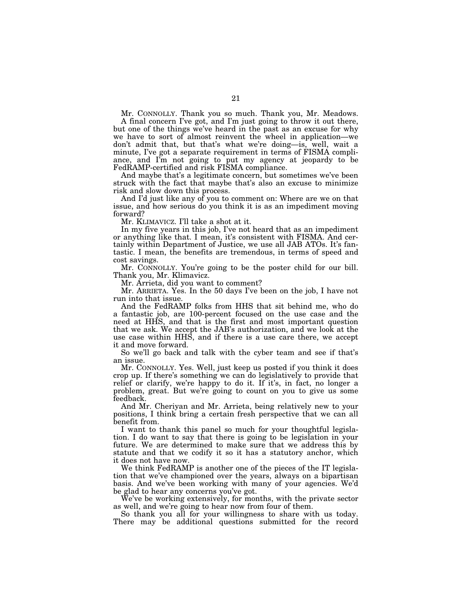Mr. CONNOLLY. Thank you so much. Thank you, Mr. Meadows.

A final concern I've got, and I'm just going to throw it out there, but one of the things we've heard in the past as an excuse for why we have to sort of almost reinvent the wheel in application—we don't admit that, but that's what we're doing—is, well, wait a minute, I've got a separate requirement in terms of FISMA compliance, and I'm not going to put my agency at jeopardy to be FedRAMP-certified and risk FISMA compliance.

And maybe that's a legitimate concern, but sometimes we've been struck with the fact that maybe that's also an excuse to minimize risk and slow down this process.

And I'd just like any of you to comment on: Where are we on that issue, and how serious do you think it is as an impediment moving forward?

Mr. KLIMAVICZ. I'll take a shot at it.

In my five years in this job, I've not heard that as an impediment or anything like that. I mean, it's consistent with FISMA. And certainly within Department of Justice, we use all JAB ATOs. It's fantastic. I mean, the benefits are tremendous, in terms of speed and cost savings.

Mr. CONNOLLY. You're going to be the poster child for our bill. Thank you, Mr. Klimavicz.

Mr. Arrieta, did you want to comment?

Mr. ARRIETA. Yes. In the 50 days I've been on the job, I have not run into that issue.

And the FedRAMP folks from HHS that sit behind me, who do a fantastic job, are 100-percent focused on the use case and the need at HHS, and that is the first and most important question that we ask. We accept the JAB's authorization, and we look at the use case within HHS, and if there is a use care there, we accept it and move forward.

So we'll go back and talk with the cyber team and see if that's an issue.

Mr. CONNOLLY. Yes. Well, just keep us posted if you think it does crop up. If there's something we can do legislatively to provide that relief or clarify, we're happy to do it. If it's, in fact, no longer a problem, great. But we're going to count on you to give us some feedback.

And Mr. Cheriyan and Mr. Arrieta, being relatively new to your positions, I think bring a certain fresh perspective that we can all benefit from.

I want to thank this panel so much for your thoughtful legislation. I do want to say that there is going to be legislation in your future. We are determined to make sure that we address this by statute and that we codify it so it has a statutory anchor, which it does not have now.

We think FedRAMP is another one of the pieces of the IT legislation that we've championed over the years, always on a bipartisan basis. And we've been working with many of your agencies. We'd be glad to hear any concerns you've got.

We've be working extensively, for months, with the private sector as well, and we're going to hear now from four of them.

So thank you all for your willingness to share with us today. There may be additional questions submitted for the record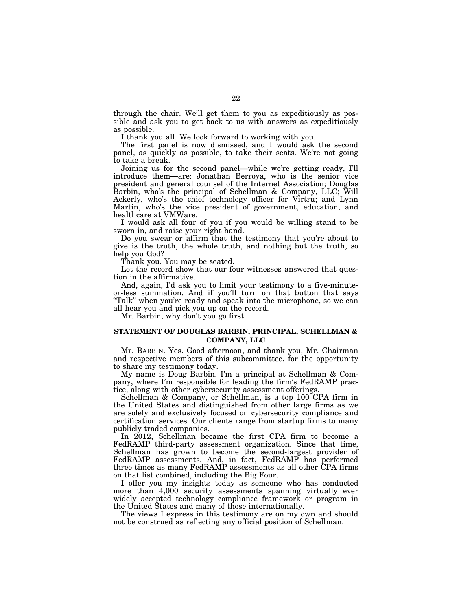through the chair. We'll get them to you as expeditiously as possible and ask you to get back to us with answers as expeditiously as possible.

I thank you all. We look forward to working with you.

The first panel is now dismissed, and I would ask the second panel, as quickly as possible, to take their seats. We're not going to take a break.

Joining us for the second panel—while we're getting ready, I'll introduce them—are: Jonathan Berroya, who is the senior vice president and general counsel of the Internet Association; Douglas Barbin, who's the principal of Schellman & Company, LLC; Will Ackerly, who's the chief technology officer for Virtru; and Lynn Martin, who's the vice president of government, education, and healthcare at VMWare.

I would ask all four of you if you would be willing stand to be sworn in, and raise your right hand.

Do you swear or affirm that the testimony that you're about to give is the truth, the whole truth, and nothing but the truth, so help you God?

Thank you. You may be seated.

Let the record show that our four witnesses answered that question in the affirmative.

And, again, I'd ask you to limit your testimony to a five-minuteor-less summation. And if you'll turn on that button that says "Talk" when you're ready and speak into the microphone, so we can all hear you and pick you up on the record.

Mr. Barbin, why don't you go first.

#### **STATEMENT OF DOUGLAS BARBIN, PRINCIPAL, SCHELLMAN & COMPANY, LLC**

Mr. BARBIN. Yes. Good afternoon, and thank you, Mr. Chairman and respective members of this subcommittee, for the opportunity to share my testimony today.

My name is Doug Barbin. I'm a principal at Schellman & Company, where I'm responsible for leading the firm's FedRAMP practice, along with other cybersecurity assessment offerings.

Schellman & Company, or Schellman, is a top 100 CPA firm in the United States and distinguished from other large firms as we are solely and exclusively focused on cybersecurity compliance and certification services. Our clients range from startup firms to many publicly traded companies.

In 2012, Schellman became the first CPA firm to become a FedRAMP third-party assessment organization. Since that time, Schellman has grown to become the second-largest provider of FedRAMP assessments. And, in fact, FedRAMP has performed three times as many FedRAMP assessments as all other CPA firms on that list combined, including the Big Four.

I offer you my insights today as someone who has conducted more than 4,000 security assessments spanning virtually ever widely accepted technology compliance framework or program in the United States and many of those internationally.

The views I express in this testimony are on my own and should not be construed as reflecting any official position of Schellman.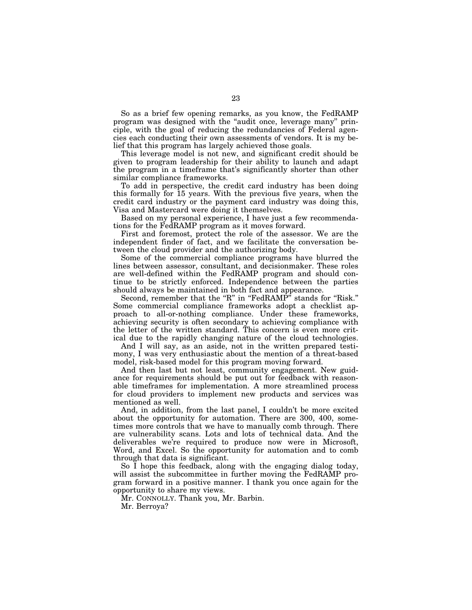So as a brief few opening remarks, as you know, the FedRAMP program was designed with the ''audit once, leverage many'' principle, with the goal of reducing the redundancies of Federal agencies each conducting their own assessments of vendors. It is my belief that this program has largely achieved those goals.

This leverage model is not new, and significant credit should be given to program leadership for their ability to launch and adapt the program in a timeframe that's significantly shorter than other similar compliance frameworks.

To add in perspective, the credit card industry has been doing this formally for 15 years. With the previous five years, when the credit card industry or the payment card industry was doing this, Visa and Mastercard were doing it themselves.

Based on my personal experience, I have just a few recommendations for the FedRAMP program as it moves forward.

First and foremost, protect the role of the assessor. We are the independent finder of fact, and we facilitate the conversation between the cloud provider and the authorizing body.

Some of the commercial compliance programs have blurred the lines between assessor, consultant, and decisionmaker. These roles are well-defined within the FedRAMP program and should continue to be strictly enforced. Independence between the parties should always be maintained in both fact and appearance.

Second, remember that the "R" in "FedRAMP" stands for "Risk." Some commercial compliance frameworks adopt a checklist approach to all-or-nothing compliance. Under these frameworks, achieving security is often secondary to achieving compliance with the letter of the written standard. This concern is even more critical due to the rapidly changing nature of the cloud technologies.

And I will say, as an aside, not in the written prepared testimony, I was very enthusiastic about the mention of a threat-based model, risk-based model for this program moving forward.

And then last but not least, community engagement. New guidance for requirements should be put out for feedback with reasonable timeframes for implementation. A more streamlined process for cloud providers to implement new products and services was mentioned as well.

And, in addition, from the last panel, I couldn't be more excited about the opportunity for automation. There are 300, 400, sometimes more controls that we have to manually comb through. There are vulnerability scans. Lots and lots of technical data. And the deliverables we're required to produce now were in Microsoft, Word, and Excel. So the opportunity for automation and to comb through that data is significant.

So I hope this feedback, along with the engaging dialog today, will assist the subcommittee in further moving the FedRAMP program forward in a positive manner. I thank you once again for the opportunity to share my views.

Mr. CONNOLLY. Thank you, Mr. Barbin.

Mr. Berroya?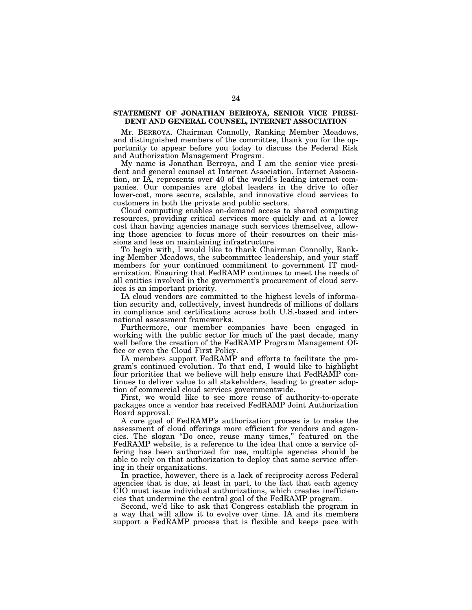#### **STATEMENT OF JONATHAN BERROYA, SENIOR VICE PRESI-DENT AND GENERAL COUNSEL, INTERNET ASSOCIATION**

Mr. BERROYA. Chairman Connolly, Ranking Member Meadows, and distinguished members of the committee, thank you for the opportunity to appear before you today to discuss the Federal Risk and Authorization Management Program.

My name is Jonathan Berroya, and I am the senior vice president and general counsel at Internet Association. Internet Association, or IA, represents over 40 of the world's leading internet companies. Our companies are global leaders in the drive to offer lower-cost, more secure, scalable, and innovative cloud services to customers in both the private and public sectors.

Cloud computing enables on-demand access to shared computing resources, providing critical services more quickly and at a lower cost than having agencies manage such services themselves, allowing those agencies to focus more of their resources on their missions and less on maintaining infrastructure.

To begin with, I would like to thank Chairman Connolly, Ranking Member Meadows, the subcommittee leadership, and your staff members for your continued commitment to government IT modernization. Ensuring that FedRAMP continues to meet the needs of all entities involved in the government's procurement of cloud services is an important priority.

IA cloud vendors are committed to the highest levels of information security and, collectively, invest hundreds of millions of dollars in compliance and certifications across both U.S.-based and international assessment frameworks.

Furthermore, our member companies have been engaged in working with the public sector for much of the past decade, many well before the creation of the FedRAMP Program Management Office or even the Cloud First Policy.

IA members support FedRAMP and efforts to facilitate the program's continued evolution. To that end, I would like to highlight four priorities that we believe will help ensure that FedRAMP continues to deliver value to all stakeholders, leading to greater adoption of commercial cloud services governmentwide.

First, we would like to see more reuse of authority-to-operate packages once a vendor has received FedRAMP Joint Authorization Board approval.

A core goal of FedRAMP's authorization process is to make the assessment of cloud offerings more efficient for vendors and agencies. The slogan ''Do once, reuse many times,'' featured on the FedRAMP website, is a reference to the idea that once a service offering has been authorized for use, multiple agencies should be able to rely on that authorization to deploy that same service offering in their organizations.

In practice, however, there is a lack of reciprocity across Federal agencies that is due, at least in part, to the fact that each agency CIO must issue individual authorizations, which creates inefficiencies that undermine the central goal of the FedRAMP program.

Second, we'd like to ask that Congress establish the program in a way that will allow it to evolve over time. IA and its members support a FedRAMP process that is flexible and keeps pace with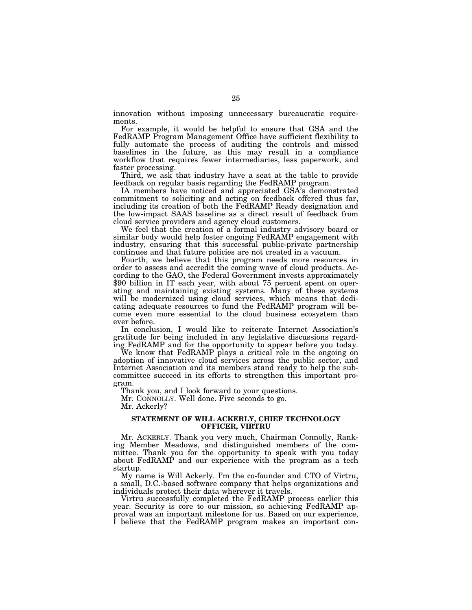innovation without imposing unnecessary bureaucratic requirements.

For example, it would be helpful to ensure that GSA and the FedRAMP Program Management Office have sufficient flexibility to fully automate the process of auditing the controls and missed baselines in the future, as this may result in a compliance workflow that requires fewer intermediaries, less paperwork, and faster processing.

Third, we ask that industry have a seat at the table to provide feedback on regular basis regarding the FedRAMP program.

IA members have noticed and appreciated GSA's demonstrated commitment to soliciting and acting on feedback offered thus far, including its creation of both the FedRAMP Ready designation and the low-impact SAAS baseline as a direct result of feedback from cloud service providers and agency cloud customers.

We feel that the creation of a formal industry advisory board or similar body would help foster ongoing FedRAMP engagement with industry, ensuring that this successful public-private partnership continues and that future policies are not created in a vacuum.

Fourth, we believe that this program needs more resources in order to assess and accredit the coming wave of cloud products. According to the GAO, the Federal Government invests approximately \$90 billion in IT each year, with about 75 percent spent on operating and maintaining existing systems. Many of these systems will be modernized using cloud services, which means that dedicating adequate resources to fund the FedRAMP program will become even more essential to the cloud business ecosystem than ever before.

In conclusion, I would like to reiterate Internet Association's gratitude for being included in any legislative discussions regarding FedRAMP and for the opportunity to appear before you today.

We know that FedRAMP plays a critical role in the ongoing on adoption of innovative cloud services across the public sector, and Internet Association and its members stand ready to help the subcommittee succeed in its efforts to strengthen this important program.

Thank you, and I look forward to your questions.

Mr. CONNOLLY. Well done. Five seconds to go.

Mr. Ackerly?

#### **STATEMENT OF WILL ACKERLY, CHIEF TECHNOLOGY OFFICER, VIRTRU**

Mr. ACKERLY. Thank you very much, Chairman Connolly, Ranking Member Meadows, and distinguished members of the committee. Thank you for the opportunity to speak with you today about FedRAMP and our experience with the program as a tech startup.

My name is Will Ackerly. I'm the co-founder and CTO of Virtru, a small, D.C.-based software company that helps organizations and individuals protect their data wherever it travels.

Virtru successfully completed the FedRAMP process earlier this year. Security is core to our mission, so achieving FedRAMP approval was an important milestone for us. Based on our experience, I believe that the FedRAMP program makes an important con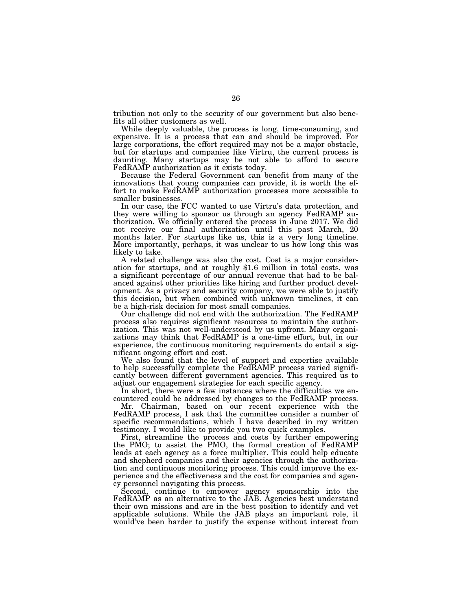tribution not only to the security of our government but also benefits all other customers as well.

While deeply valuable, the process is long, time-consuming, and expensive. It is a process that can and should be improved. For large corporations, the effort required may not be a major obstacle, but for startups and companies like Virtru, the current process is daunting. Many startups may be not able to afford to secure FedRAMP authorization as it exists today.

Because the Federal Government can benefit from many of the innovations that young companies can provide, it is worth the effort to make FedRAMP authorization processes more accessible to smaller businesses.

In our case, the FCC wanted to use Virtru's data protection, and they were willing to sponsor us through an agency FedRAMP authorization. We officially entered the process in June 2017. We did not receive our final authorization until this past March, 20 months later. For startups like us, this is a very long timeline. More importantly, perhaps, it was unclear to us how long this was likely to take.<br>A related challenge was also the cost. Cost is a major consider-

ation for startups, and at roughly \$1.6 million in total costs, was a significant percentage of our annual revenue that had to be balanced against other priorities like hiring and further product development. As a privacy and security company, we were able to justify this decision, but when combined with unknown timelines, it can be a high-risk decision for most small companies.

Our challenge did not end with the authorization. The FedRAMP process also requires significant resources to maintain the authorization. This was not well-understood by us upfront. Many organizations may think that FedRAMP is a one-time effort, but, in our experience, the continuous monitoring requirements do entail a significant ongoing effort and cost.

We also found that the level of support and expertise available to help successfully complete the FedRAMP process varied significantly between different government agencies. This required us to adjust our engagement strategies for each specific agency.

In short, there were a few instances where the difficulties we encountered could be addressed by changes to the FedRAMP process.

Mr. Chairman, based on our recent experience with the FedRAMP process, I ask that the committee consider a number of specific recommendations, which I have described in my written testimony. I would like to provide you two quick examples.

First, streamline the process and costs by further empowering the PMO; to assist the PMO, the formal creation of FedRAMP leads at each agency as a force multiplier. This could help educate and shepherd companies and their agencies through the authorization and continuous monitoring process. This could improve the experience and the effectiveness and the cost for companies and agency personnel navigating this process.

Second, continue to empower agency sponsorship into the FedRAMP as an alternative to the JAB. Agencies best understand their own missions and are in the best position to identify and vet applicable solutions. While the JAB plays an important role, it would've been harder to justify the expense without interest from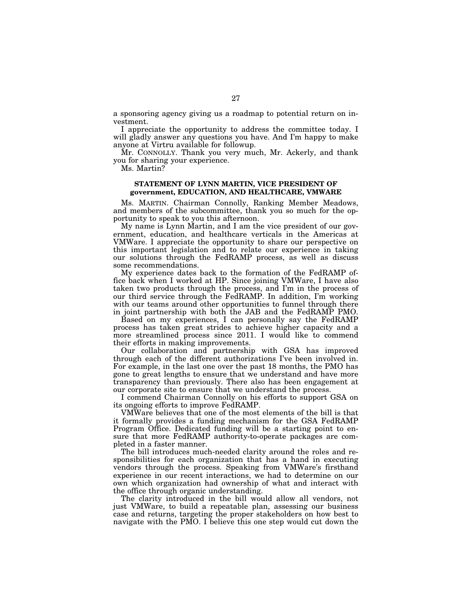a sponsoring agency giving us a roadmap to potential return on investment.

I appreciate the opportunity to address the committee today. I will gladly answer any questions you have. And I'm happy to make anyone at Virtru available for followup.

Mr. CONNOLLY. Thank you very much, Mr. Ackerly, and thank you for sharing your experience.

Ms. Martin?

#### **STATEMENT OF LYNN MARTIN, VICE PRESIDENT OF government, EDUCATION, AND HEALTHCARE, VMWARE**

Ms. MARTIN. Chairman Connolly, Ranking Member Meadows, and members of the subcommittee, thank you so much for the opportunity to speak to you this afternoon.

My name is Lynn Martin, and I am the vice president of our government, education, and healthcare verticals in the Americas at VMWare. I appreciate the opportunity to share our perspective on this important legislation and to relate our experience in taking our solutions through the FedRAMP process, as well as discuss some recommendations.

My experience dates back to the formation of the FedRAMP office back when I worked at HP. Since joining VMWare, I have also taken two products through the process, and I'm in the process of our third service through the FedRAMP. In addition, I'm working with our teams around other opportunities to funnel through there in joint partnership with both the JAB and the FedRAMP PMO.

Based on my experiences, I can personally say the FedRAMP process has taken great strides to achieve higher capacity and a more streamlined process since 2011. I would like to commend their efforts in making improvements.

Our collaboration and partnership with GSA has improved through each of the different authorizations I've been involved in. For example, in the last one over the past 18 months, the PMO has gone to great lengths to ensure that we understand and have more transparency than previously. There also has been engagement at our corporate site to ensure that we understand the process.

I commend Chairman Connolly on his efforts to support GSA on its ongoing efforts to improve FedRAMP.

VMWare believes that one of the most elements of the bill is that it formally provides a funding mechanism for the GSA FedRAMP Program Office. Dedicated funding will be a starting point to ensure that more FedRAMP authority-to-operate packages are completed in a faster manner.

The bill introduces much-needed clarity around the roles and responsibilities for each organization that has a hand in executing vendors through the process. Speaking from VMWare's firsthand experience in our recent interactions, we had to determine on our own which organization had ownership of what and interact with the office through organic understanding.

The clarity introduced in the bill would allow all vendors, not just VMWare, to build a repeatable plan, assessing our business case and returns, targeting the proper stakeholders on how best to navigate with the PMO. I believe this one step would cut down the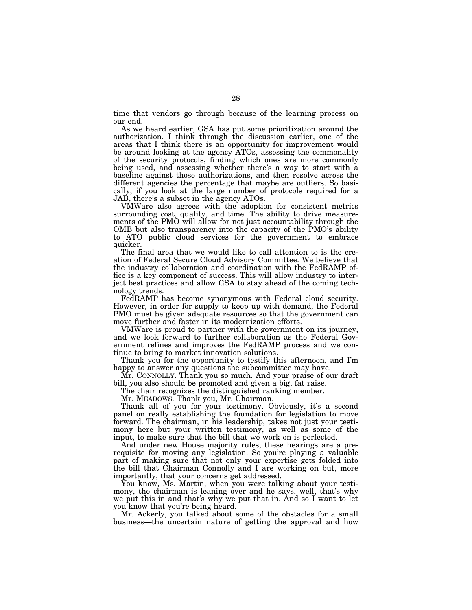time that vendors go through because of the learning process on our end.

As we heard earlier, GSA has put some prioritization around the authorization. I think through the discussion earlier, one of the areas that I think there is an opportunity for improvement would be around looking at the agency ATOs, assessing the commonality of the security protocols, finding which ones are more commonly being used, and assessing whether there's a way to start with a baseline against those authorizations, and then resolve across the different agencies the percentage that maybe are outliers. So basically, if you look at the large number of protocols required for a JAB, there's a subset in the agency ATOs.

VMWare also agrees with the adoption for consistent metrics surrounding cost, quality, and time. The ability to drive measurements of the PMO will allow for not just accountability through the OMB but also transparency into the capacity of the PMO's ability to ATO public cloud services for the government to embrace quicker.

The final area that we would like to call attention to is the creation of Federal Secure Cloud Advisory Committee. We believe that the industry collaboration and coordination with the FedRAMP office is a key component of success. This will allow industry to interject best practices and allow GSA to stay ahead of the coming technology trends.

FedRAMP has become synonymous with Federal cloud security. However, in order for supply to keep up with demand, the Federal PMO must be given adequate resources so that the government can move further and faster in its modernization efforts.

VMWare is proud to partner with the government on its journey, and we look forward to further collaboration as the Federal Government refines and improves the FedRAMP process and we continue to bring to market innovation solutions.

Thank you for the opportunity to testify this afternoon, and I'm happy to answer any questions the subcommittee may have.

Mr. CONNOLLY. Thank you so much. And your praise of our draft bill, you also should be promoted and given a big, fat raise.

The chair recognizes the distinguished ranking member.

Mr. MEADOWS. Thank you, Mr. Chairman.

Thank all of you for your testimony. Obviously, it's a second panel on really establishing the foundation for legislation to move forward. The chairman, in his leadership, takes not just your testimony here but your written testimony, as well as some of the input, to make sure that the bill that we work on is perfected.

And under new House majority rules, these hearings are a prerequisite for moving any legislation. So you're playing a valuable part of making sure that not only your expertise gets folded into the bill that Chairman Connolly and I are working on but, more importantly, that your concerns get addressed.

You know, Ms. Martin, when you were talking about your testimony, the chairman is leaning over and he says, well, that's why we put this in and that's why we put that in. And so I want to let you know that you're being heard.

Mr. Ackerly, you talked about some of the obstacles for a small business—the uncertain nature of getting the approval and how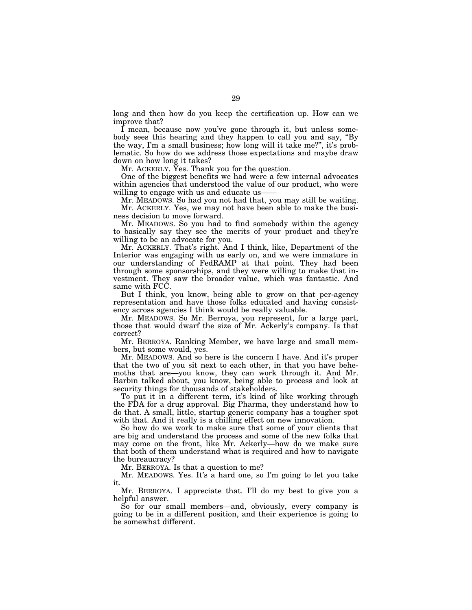long and then how do you keep the certification up. How can we improve that?

I mean, because now you've gone through it, but unless somebody sees this hearing and they happen to call you and say, "By the way, I'm a small business; how long will it take me?'', it's problematic. So how do we address those expectations and maybe draw down on how long it takes?

Mr. ACKERLY. Yes. Thank you for the question.

One of the biggest benefits we had were a few internal advocates within agencies that understood the value of our product, who were willing to engage with us and educate us-

Mr. MEADOWS. So had you not had that, you may still be waiting. Mr. ACKERLY. Yes, we may not have been able to make the business decision to move forward.

Mr. MEADOWS. So you had to find somebody within the agency to basically say they see the merits of your product and they're willing to be an advocate for you.

Mr. ACKERLY. That's right. And I think, like, Department of the Interior was engaging with us early on, and we were immature in our understanding of FedRAMP at that point. They had been through some sponsorships, and they were willing to make that investment. They saw the broader value, which was fantastic. And same with FCC.

But I think, you know, being able to grow on that per-agency representation and have those folks educated and having consistency across agencies I think would be really valuable.

Mr. MEADOWS. So Mr. Berroya, you represent, for a large part, those that would dwarf the size of Mr. Ackerly's company. Is that correct?

Mr. BERROYA. Ranking Member, we have large and small members, but some would, yes.

Mr. MEADOWS. And so here is the concern I have. And it's proper that the two of you sit next to each other, in that you have behemoths that are—you know, they can work through it. And Mr. Barbin talked about, you know, being able to process and look at security things for thousands of stakeholders.

To put it in a different term, it's kind of like working through the FDA for a drug approval. Big Pharma, they understand how to do that. A small, little, startup generic company has a tougher spot with that. And it really is a chilling effect on new innovation.

So how do we work to make sure that some of your clients that are big and understand the process and some of the new folks that may come on the front, like Mr. Ackerly—how do we make sure that both of them understand what is required and how to navigate the bureaucracy?

Mr. BERROYA. Is that a question to me?

Mr. MEADOWS. Yes. It's a hard one, so I'm going to let you take it.

Mr. BERROYA. I appreciate that. I'll do my best to give you a helpful answer.

So for our small members—and, obviously, every company is going to be in a different position, and their experience is going to be somewhat different.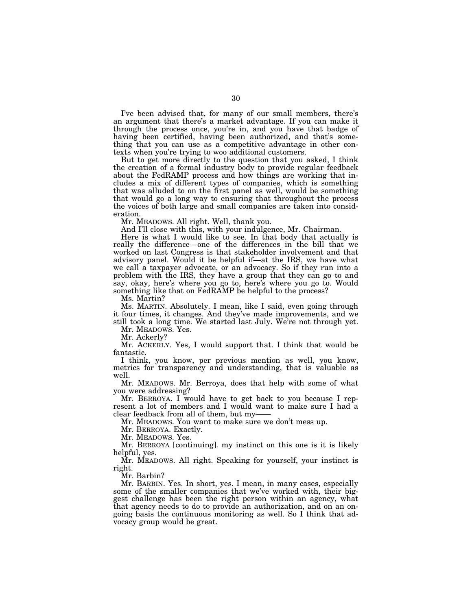I've been advised that, for many of our small members, there's an argument that there's a market advantage. If you can make it through the process once, you're in, and you have that badge of having been certified, having been authorized, and that's something that you can use as a competitive advantage in other contexts when you're trying to woo additional customers.

But to get more directly to the question that you asked, I think the creation of a formal industry body to provide regular feedback about the FedRAMP process and how things are working that includes a mix of different types of companies, which is something that was alluded to on the first panel as well, would be something that would go a long way to ensuring that throughout the process the voices of both large and small companies are taken into consideration.

Mr. MEADOWS. All right. Well, thank you.

And I'll close with this, with your indulgence, Mr. Chairman.

Here is what I would like to see. In that body that actually is really the difference—one of the differences in the bill that we worked on last Congress is that stakeholder involvement and that advisory panel. Would it be helpful if—at the IRS, we have what we call a taxpayer advocate, or an advocacy. So if they run into a problem with the IRS, they have a group that they can go to and say, okay, here's where you go to, here's where you go to. Would something like that on FedRAMP be helpful to the process?

Ms. Martin?

Ms. MARTIN. Absolutely. I mean, like I said, even going through it four times, it changes. And they've made improvements, and we still took a long time. We started last July. We're not through yet.

Mr. MEADOWS. Yes.

Mr. Ackerly?

Mr. ACKERLY. Yes, I would support that. I think that would be fantastic.

I think, you know, per previous mention as well, you know, metrics for transparency and understanding, that is valuable as well.

Mr. MEADOWS. Mr. Berroya, does that help with some of what you were addressing?

Mr. BERROYA. I would have to get back to you because I represent a lot of members and I would want to make sure I had a clear feedback from all of them, but my-

Mr. MEADOWS. You want to make sure we don't mess up.

Mr. BERROYA. Exactly.

Mr. MEADOWS. Yes.

Mr. BERROYA [continuing]. my instinct on this one is it is likely helpful, yes.

Mr. MEADOWS. All right. Speaking for yourself, your instinct is right.

Mr. Barbin?

Mr. BARBIN. Yes. In short, yes. I mean, in many cases, especially some of the smaller companies that we've worked with, their biggest challenge has been the right person within an agency, what that agency needs to do to provide an authorization, and on an ongoing basis the continuous monitoring as well. So I think that advocacy group would be great.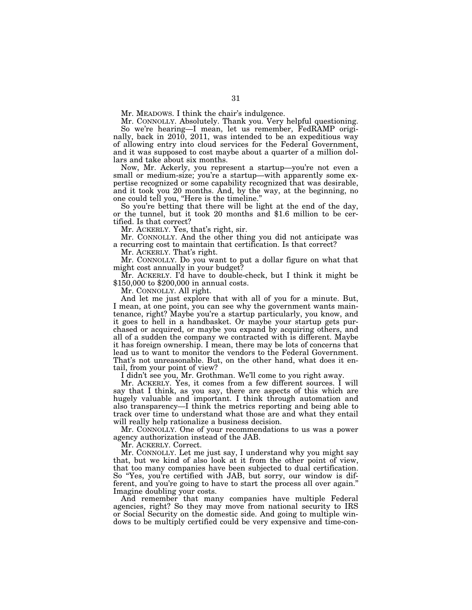Mr. MEADOWS. I think the chair's indulgence.

Mr. CONNOLLY. Absolutely. Thank you. Very helpful questioning.

So we're hearing—I mean, let us remember, FedRAMP originally, back in 2010, 2011, was intended to be an expeditious way of allowing entry into cloud services for the Federal Government, and it was supposed to cost maybe about a quarter of a million dollars and take about six months.

Now, Mr. Ackerly, you represent a startup—you're not even a small or medium-size; you're a startup—with apparently some expertise recognized or some capability recognized that was desirable, and it took you 20 months. And, by the way, at the beginning, no one could tell you, ''Here is the timeline.''

So you're betting that there will be light at the end of the day, or the tunnel, but it took 20 months and \$1.6 million to be certified. Is that correct?

Mr. ACKERLY. Yes, that's right, sir.

Mr. CONNOLLY. And the other thing you did not anticipate was a recurring cost to maintain that certification. Is that correct?

Mr. ACKERLY. That's right.

Mr. CONNOLLY. Do you want to put a dollar figure on what that might cost annually in your budget?

Mr. ACKERLY. I'd have to double-check, but I think it might be \$150,000 to \$200,000 in annual costs.

Mr. CONNOLLY. All right.

And let me just explore that with all of you for a minute. But, I mean, at one point, you can see why the government wants maintenance, right? Maybe you're a startup particularly, you know, and it goes to hell in a handbasket. Or maybe your startup gets purchased or acquired, or maybe you expand by acquiring others, and all of a sudden the company we contracted with is different. Maybe it has foreign ownership. I mean, there may be lots of concerns that lead us to want to monitor the vendors to the Federal Government. That's not unreasonable. But, on the other hand, what does it entail, from your point of view?

I didn't see you, Mr. Grothman. We'll come to you right away.

Mr. ACKERLY. Yes, it comes from a few different sources. I will say that I think, as you say, there are aspects of this which are hugely valuable and important. I think through automation and also transparency—I think the metrics reporting and being able to track over time to understand what those are and what they entail will really help rationalize a business decision.

Mr. CONNOLLY. One of your recommendations to us was a power agency authorization instead of the JAB.

Mr. ACKERLY. Correct.

Mr. CONNOLLY. Let me just say, I understand why you might say that, but we kind of also look at it from the other point of view, that too many companies have been subjected to dual certification. So "Yes, you're certified with JAB, but sorry, our window is different, and you're going to have to start the process all over again.'' Imagine doubling your costs.

And remember that many companies have multiple Federal agencies, right? So they may move from national security to IRS or Social Security on the domestic side. And going to multiple windows to be multiply certified could be very expensive and time-con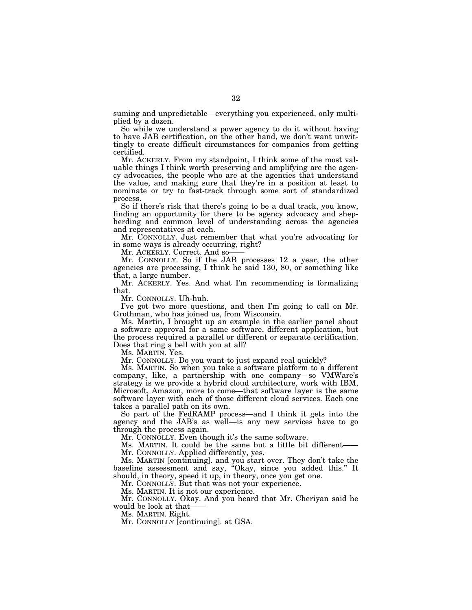suming and unpredictable—everything you experienced, only multiplied by a dozen.

So while we understand a power agency to do it without having to have JAB certification, on the other hand, we don't want unwittingly to create difficult circumstances for companies from getting certified.

Mr. ACKERLY. From my standpoint, I think some of the most valuable things I think worth preserving and amplifying are the agency advocacies, the people who are at the agencies that understand the value, and making sure that they're in a position at least to nominate or try to fast-track through some sort of standardized process.

So if there's risk that there's going to be a dual track, you know, finding an opportunity for there to be agency advocacy and shepherding and common level of understanding across the agencies and representatives at each.

Mr. CONNOLLY. Just remember that what you're advocating for in some ways is already occurring, right?

Mr. ACKERLY. Correct. And so-

Mr. CONNOLLY. So if the JAB processes 12 a year, the other agencies are processing, I think he said 130, 80, or something like that, a large number.

Mr. ACKERLY. Yes. And what I'm recommending is formalizing that.

Mr. CONNOLLY. Uh-huh.

I've got two more questions, and then I'm going to call on Mr. Grothman, who has joined us, from Wisconsin.

Ms. Martin, I brought up an example in the earlier panel about a software approval for a same software, different application, but the process required a parallel or different or separate certification. Does that ring a bell with you at all?

Ms. MARTIN. Yes.

Mr. CONNOLLY. Do you want to just expand real quickly?

Ms. MARTIN. So when you take a software platform to a different company, like, a partnership with one company—so VMWare's strategy is we provide a hybrid cloud architecture, work with IBM, Microsoft, Amazon, more to come—that software layer is the same software layer with each of those different cloud services. Each one takes a parallel path on its own.

So part of the FedRAMP process—and I think it gets into the agency and the JAB's as well—is any new services have to go through the process again.

Mr. CONNOLLY. Even though it's the same software.

Ms. MARTIN. It could be the same but a little bit different—— Mr. CONNOLLY. Applied differently, yes.

Ms. MARTIN [continuing]. and you start over. They don't take the baseline assessment and say, ''Okay, since you added this.'' It should, in theory, speed it up, in theory, once you get one.

Mr. CONNOLLY. But that was not your experience.

Ms. MARTIN. It is not our experience.

Mr. CONNOLLY. Okay. And you heard that Mr. Cheriyan said he would be look at that-

Ms. MARTIN. Right.

Mr. CONNOLLY [continuing]. at GSA.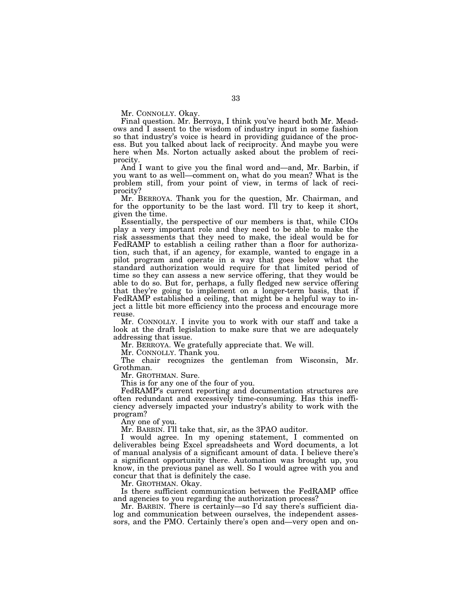Mr. CONNOLLY. Okay.

Final question. Mr. Berroya, I think you've heard both Mr. Meadows and I assent to the wisdom of industry input in some fashion so that industry's voice is heard in providing guidance of the process. But you talked about lack of reciprocity. And maybe you were here when Ms. Norton actually asked about the problem of reciprocity.

And I want to give you the final word and—and, Mr. Barbin, if you want to as well—comment on, what do you mean? What is the problem still, from your point of view, in terms of lack of reciprocity?

Mr. BERROYA. Thank you for the question, Mr. Chairman, and for the opportunity to be the last word. I'll try to keep it short, given the time.

Essentially, the perspective of our members is that, while CIOs play a very important role and they need to be able to make the risk assessments that they need to make, the ideal would be for FedRAMP to establish a ceiling rather than a floor for authorization, such that, if an agency, for example, wanted to engage in a pilot program and operate in a way that goes below what the standard authorization would require for that limited period of time so they can assess a new service offering, that they would be able to do so. But for, perhaps, a fully fledged new service offering that they're going to implement on a longer-term basis, that if FedRAMP established a ceiling, that might be a helpful way to inject a little bit more efficiency into the process and encourage more reuse.

Mr. CONNOLLY. I invite you to work with our staff and take a look at the draft legislation to make sure that we are adequately addressing that issue.

Mr. BERROYA. We gratefully appreciate that. We will.

Mr. CONNOLLY. Thank you.

The chair recognizes the gentleman from Wisconsin, Mr. Grothman.

Mr. GROTHMAN. Sure.

This is for any one of the four of you.

FedRAMP's current reporting and documentation structures are often redundant and excessively time-consuming. Has this inefficiency adversely impacted your industry's ability to work with the program?

Any one of you.

Mr. BARBIN. I'll take that, sir, as the 3PAO auditor.

I would agree. In my opening statement, I commented on deliverables being Excel spreadsheets and Word documents, a lot of manual analysis of a significant amount of data. I believe there's a significant opportunity there. Automation was brought up, you know, in the previous panel as well. So I would agree with you and concur that that is definitely the case.

Mr. GROTHMAN. Okay.

Is there sufficient communication between the FedRAMP office and agencies to you regarding the authorization process?

Mr. BARBIN. There is certainly—so I'd say there's sufficient dialog and communication between ourselves, the independent assessors, and the PMO. Certainly there's open and—very open and on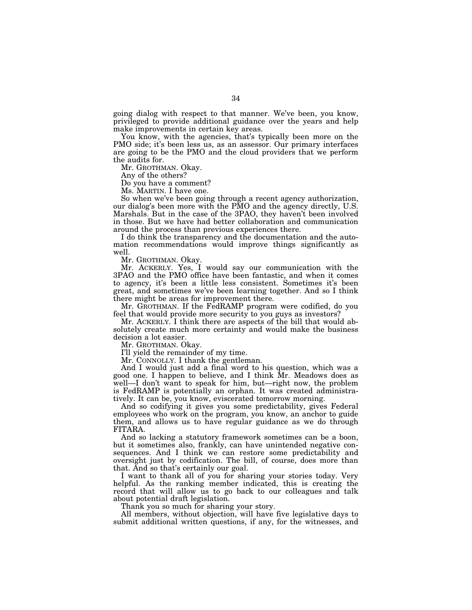going dialog with respect to that manner. We've been, you know, privileged to provide additional guidance over the years and help make improvements in certain key areas.

You know, with the agencies, that's typically been more on the PMO side; it's been less us, as an assessor. Our primary interfaces are going to be the PMO and the cloud providers that we perform the audits for.

Mr. GROTHMAN. Okay.

Any of the others?

Do you have a comment?

Ms. MARTIN. I have one.

So when we've been going through a recent agency authorization, our dialog's been more with the PMO and the agency directly, U.S. Marshals. But in the case of the 3PAO, they haven't been involved in those. But we have had better collaboration and communication around the process than previous experiences there.

I do think the transparency and the documentation and the automation recommendations would improve things significantly as well.

Mr. GROTHMAN. Okay.

Mr. ACKERLY. Yes, I would say our communication with the 3PAO and the PMO office have been fantastic, and when it comes to agency, it's been a little less consistent. Sometimes it's been great, and sometimes we've been learning together. And so I think there might be areas for improvement there.

Mr. GROTHMAN. If the FedRAMP program were codified, do you feel that would provide more security to you guys as investors?

Mr. ACKERLY. I think there are aspects of the bill that would absolutely create much more certainty and would make the business decision a lot easier.

Mr. GROTHMAN. Okay.

I'll yield the remainder of my time.

Mr. CONNOLLY. I thank the gentleman.

And I would just add a final word to his question, which was a good one. I happen to believe, and I think Mr. Meadows does as well—I don't want to speak for him, but—right now, the problem is FedRAMP is potentially an orphan. It was created administratively. It can be, you know, eviscerated tomorrow morning.

And so codifying it gives you some predictability, gives Federal employees who work on the program, you know, an anchor to guide them, and allows us to have regular guidance as we do through FITARA.

And so lacking a statutory framework sometimes can be a boon, but it sometimes also, frankly, can have unintended negative consequences. And I think we can restore some predictability and oversight just by codification. The bill, of course, does more than that. And so that's certainly our goal.

I want to thank all of you for sharing your stories today. Very helpful. As the ranking member indicated, this is creating the record that will allow us to go back to our colleagues and talk about potential draft legislation.

Thank you so much for sharing your story.

All members, without objection, will have five legislative days to submit additional written questions, if any, for the witnesses, and